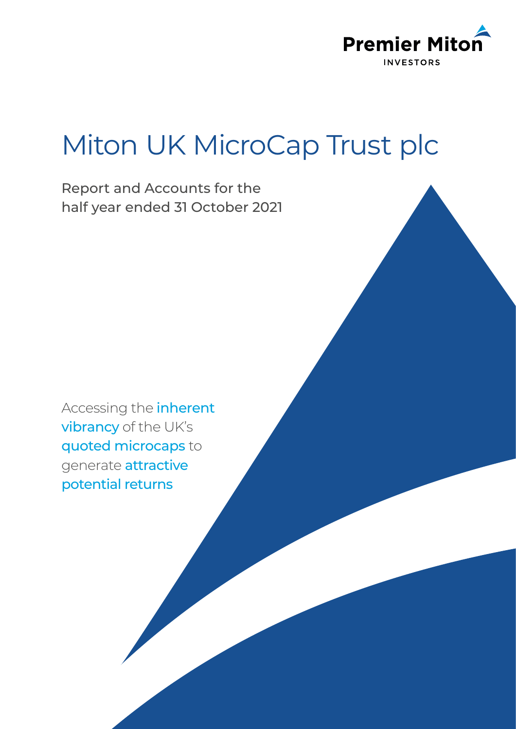

## Miton UK MicroCap Trust plc

Report and Accounts for the half year ended 31 October 2021

Accessing the inherent vibrancy of the UK's quoted microcaps to generate **attractive** potential returns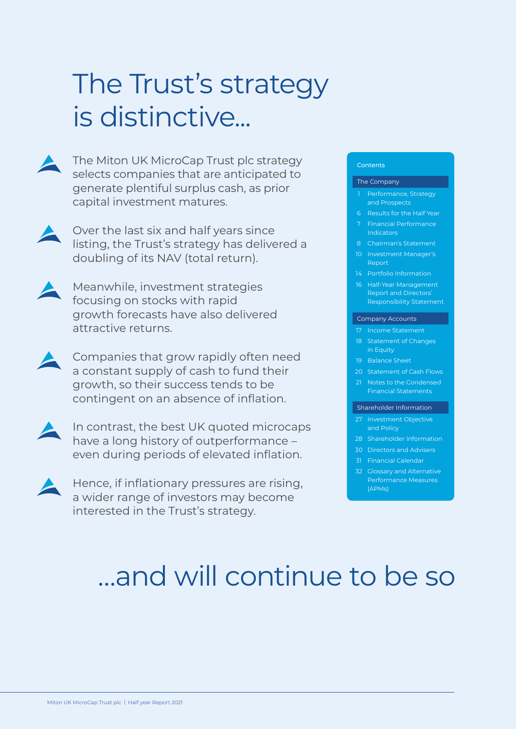# The Trust's strategy is distinctive...



The Miton UK MicroCap Trust plc strategy selects companies that are anticipated to generate plentiful surplus cash, as prior capital investment matures.

- Over the last six and half years since listing, the Trust's strategy has delivered a doubling of its NAV (total return).
- Meanwhile, investment strategies focusing on stocks with rapid growth forecasts have also delivered attractive returns.
- Companies that grow rapidly often need a constant supply of cash to fund their growth, so their success tends to be contingent on an absence of inflation.
- 

In contrast, the best UK quoted microcaps have a long history of outperformance – even during periods of elevated inflation.

Hence, if inflationary pressures are rising, a wider range of investors may become interested in the Trust's strategy.

### **Contents**

#### The Company

- 1 Performance, Strategy and Prospects
- 
- 7 Financial Performance Indicators
- 8 Chairman's Statement
- 10 Investment Manager's Report
- 14 Portfolio Information
- 16 Half-Year Management Report and Directors' Responsibility Statement

### Company Accounts

- 17 Income Statement
- 18 Statement of Changes in Equity
- 19 Balance Sheet
- 20 Statement of Cash Flows
- 21 Notes to the Condensed Financial Statements

#### Shareholder Information

- 27 Investment Objective and Policy
- 
- 30 Directors and Advisers
- 31 Financial Calendar
- 32 Glossary and Alternative Performance Measures (APMs)

## …and will continue to be so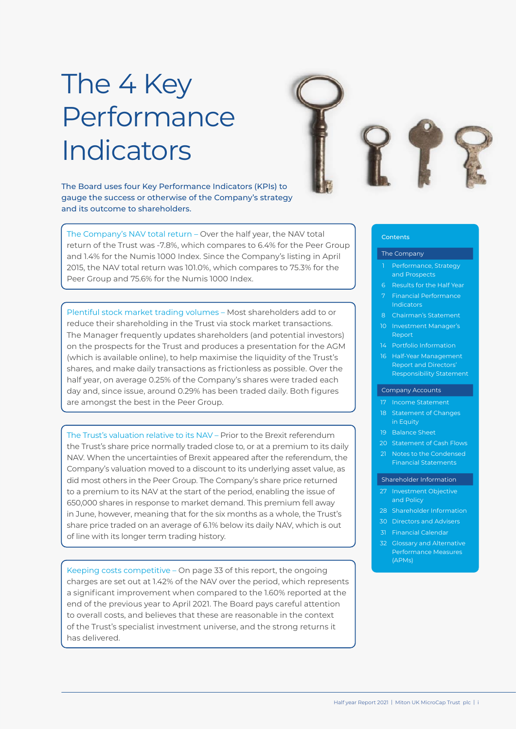## The 4 Key Performance Indicators

The Board uses four Key Performance Indicators (KPIs) to gauge the success or otherwise of the Company's strategy and its outcome to shareholders.

The Company's NAV total return – Over the half year, the NAV total return of the Trust was -7.8%, which compares to 6.4% for the Peer Group and 1.4% for the Numis 1000 Index. Since the Company's listing in April 2015, the NAV total return was 101.0%, which compares to 75.3% for the Peer Group and 75.6% for the Numis 1000 Index.

Plentiful stock market trading volumes – Most shareholders add to or reduce their shareholding in the Trust via stock market transactions. The Manager frequently updates shareholders (and potential investors) on the prospects for the Trust and produces a presentation for the AGM (which is available online), to help maximise the liquidity of the Trust's shares, and make daily transactions as frictionless as possible. Over the half year, on average 0.25% of the Company's shares were traded each day and, since issue, around 0.29% has been traded daily. Both figures are amongst the best in the Peer Group.

The Trust's valuation relative to its NAV – Prior to the Brexit referendum the Trust's share price normally traded close to, or at a premium to its daily NAV. When the uncertainties of Brexit appeared after the referendum, the Company's valuation moved to a discount to its underlying asset value, as did most others in the Peer Group. The Company's share price returned to a premium to its NAV at the start of the period, enabling the issue of 650,000 shares in response to market demand. This premium fell away in June, however, meaning that for the six months as a whole, the Trust's share price traded on an average of 6.1% below its daily NAV, which is out of line with its longer term trading history.

Keeping costs competitive – On page 33 of this report, the ongoing charges are set out at 1.42% of the NAV over the period, which represents a significant improvement when compared to the 1.60% reported at the end of the previous year to April 2021. The Board pays careful attention to overall costs, and believes that these are reasonable in the context of the Trust's specialist investment universe, and the strong returns it has delivered.



### **Contents**

#### The Company

- 1 Performance, Strategy and Prospects
- 6 Results for the Half Year 7 Financial Performance
- **Indicators**
- 
- 10 Investment Manager's Report
- 14 Portfolio Information
- 16 Half-Year Management Report and Directors' Responsibility Statement

#### Company Accounts

- 17 Income Statement
- 18 Statement of Changes in Equity
- 19 Balance Sheet
- 20 Statement of Cash Flows
- 21 Notes to the Condensed Financial Statements

#### Shareholder Information

- 27 Investment Objective and Policy
- 28 Shareholder Information
- 
- 31 Financial Calendar
	- 32 Glossary and Alternative Performance Measures (APMs)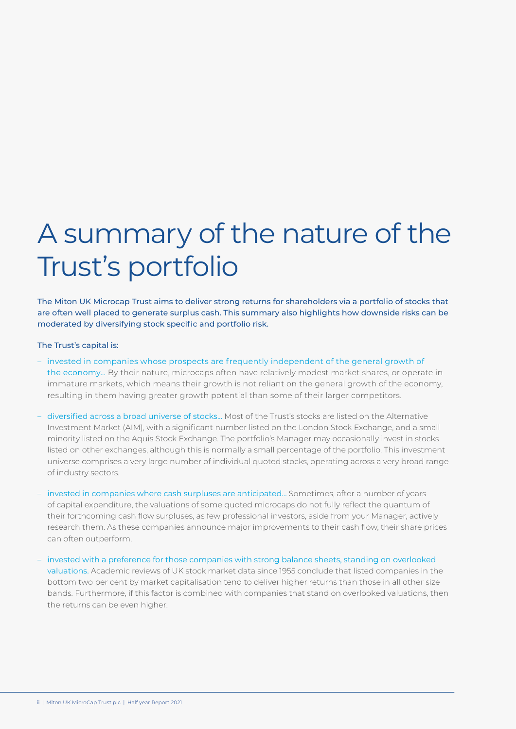## A summary of the nature of the Trust's portfolio

The Miton UK Microcap Trust aims to deliver strong returns for shareholders via a portfolio of stocks that are often well placed to generate surplus cash. This summary also highlights how downside risks can be moderated by diversifying stock specific and portfolio risk.

### The Trust's capital is:

- invested in companies whose prospects are frequently independent of the general growth of the economy… By their nature, microcaps often have relatively modest market shares, or operate in immature markets, which means their growth is not reliant on the general growth of the economy, resulting in them having greater growth potential than some of their larger competitors.
- diversified across a broad universe of stocks... Most of the Trust's stocks are listed on the Alternative Investment Market (AIM), with a significant number listed on the London Stock Exchange, and a small minority listed on the Aquis Stock Exchange. The portfolio's Manager may occasionally invest in stocks listed on other exchanges, although this is normally a small percentage of the portfolio. This investment universe comprises a very large number of individual quoted stocks, operating across a very broad range of industry sectors.
- invested in companies where cash surpluses are anticipated... Sometimes, after a number of years of capital expenditure, the valuations of some quoted microcaps do not fully reflect the quantum of their forthcoming cash flow surpluses, as few professional investors, aside from your Manager, actively research them. As these companies announce major improvements to their cash flow, their share prices can often outperform.
- invested with a preference for those companies with strong balance sheets, standing on overlooked valuations. Academic reviews of UK stock market data since 1955 conclude that listed companies in the bottom two per cent by market capitalisation tend to deliver higher returns than those in all other size bands. Furthermore, if this factor is combined with companies that stand on overlooked valuations, then the returns can be even higher.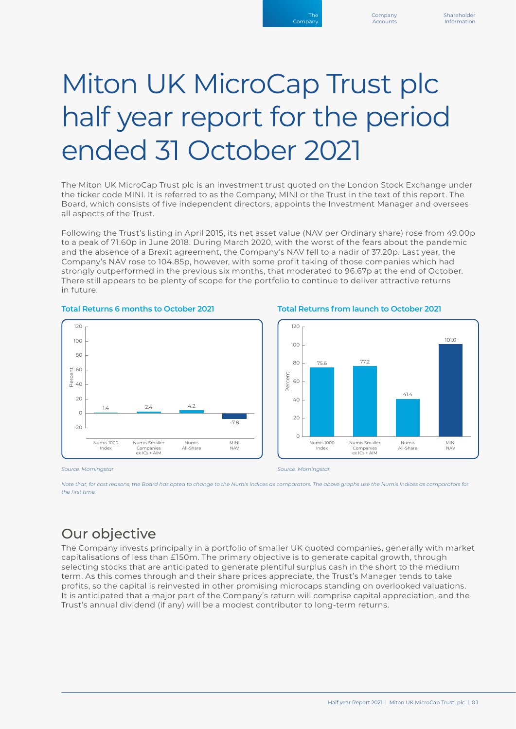Company Account

**Shareholder Information** 

## Miton UK MicroCap Trust plc half year report for the period ended 31 October 2021

The Miton UK MicroCap Trust plc is an investment trust quoted on the London Stock Exchange under the ticker code MINI. It is referred to as the Company, MINI or the Trust in the text of this report. The Board, which consists of five independent directors, appoints the Investment Manager and oversees all aspects of the Trust.

Following the Trust's listing in April 2015, its net asset value (NAV per Ordinary share) rose from 49.00p to a peak of 71.60p in June 2018. During March 2020, with the worst of the fears about the pandemic and the absence of a Brexit agreement, the Company's NAV fell to a nadir of 37.20p. Last year, the Company's NAV rose to 104.85p, however, with some profit taking of those companies which had strongly outperformed in the previous six months, that moderated to 96.67p at the end of October. There still appears to be plenty of scope for the portfolio to continue to deliver attractive returns in future.



**Total Returns 6 months to October 2021 Total Returns from launch to October 2021**



*Source: Morningstar Source: Morningstar*

*Note that, for cost reasons, the Board has opted to change to the Numis Indices as comparators. The above graphs use the Numis Indices as comparators for the first time.*

### Our objective

The Company invests principally in a portfolio of smaller UK quoted companies, generally with market capitalisations of less than £150m. The primary objective is to generate capital growth, through selecting stocks that are anticipated to generate plentiful surplus cash in the short to the medium term. As this comes through and their share prices appreciate, the Trust's Manager tends to take profits, so the capital is reinvested in other promising microcaps standing on overlooked valuations. It is anticipated that a major part of the Company's return will comprise capital appreciation, and the Trust's annual dividend (if any) will be a modest contributor to long-term returns.

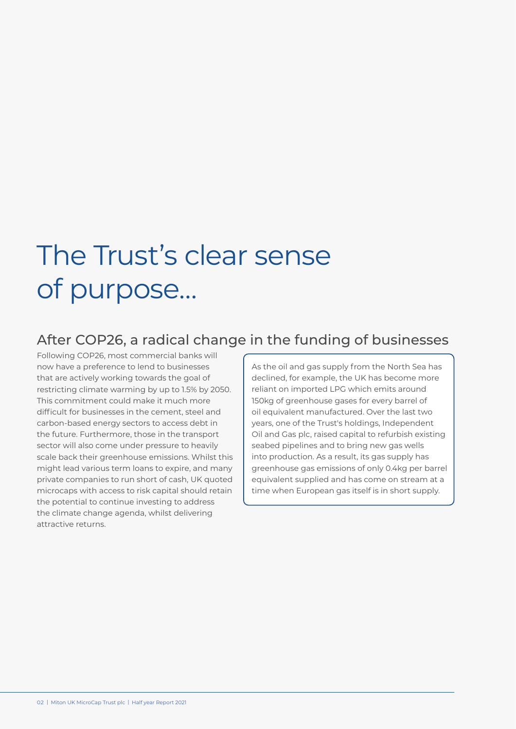## The Trust's clear sense of purpose…

### After COP26, a radical change in the funding of businesses

Following COP26, most commercial banks will now have a preference to lend to businesses that are actively working towards the goal of restricting climate warming by up to 1.5% by 2050. This commitment could make it much more difficult for businesses in the cement, steel and carbon-based energy sectors to access debt in the future. Furthermore, those in the transport sector will also come under pressure to heavily scale back their greenhouse emissions. Whilst this might lead various term loans to expire, and many private companies to run short of cash, UK quoted microcaps with access to risk capital should retain the potential to continue investing to address the climate change agenda, whilst delivering attractive returns.

As the oil and gas supply from the North Sea has declined, for example, the UK has become more reliant on imported LPG which emits around 150kg of greenhouse gases for every barrel of oil equivalent manufactured. Over the last two years, one of the Trust's holdings, Independent Oil and Gas plc, raised capital to refurbish existing seabed pipelines and to bring new gas wells into production. As a result, its gas supply has greenhouse gas emissions of only 0.4kg per barrel equivalent supplied and has come on stream at a time when European gas itself is in short supply.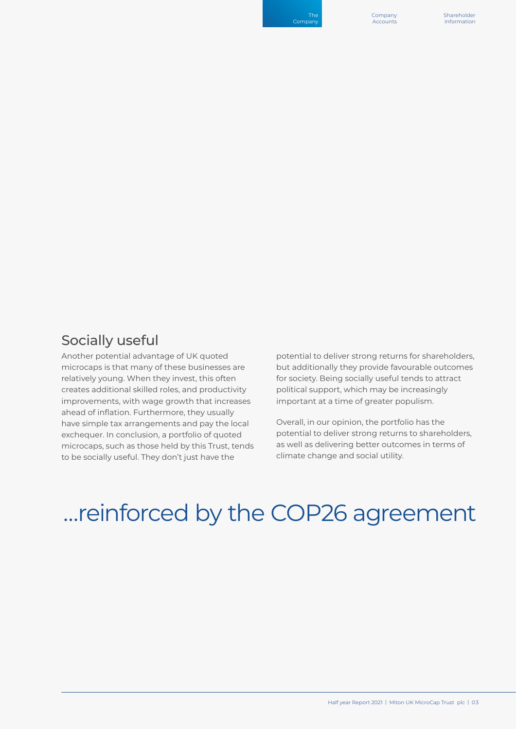Company Accounts Shareholder Information

### Socially useful

Another potential advantage of UK quoted microcaps is that many of these businesses are relatively young. When they invest, this often creates additional skilled roles, and productivity improvements, with wage growth that increases ahead of inflation. Furthermore, they usually have simple tax arrangements and pay the local exchequer. In conclusion, a portfolio of quoted microcaps, such as those held by this Trust, tends to be socially useful. They don't just have the

potential to deliver strong returns for shareholders, but additionally they provide favourable outcomes for society. Being socially useful tends to attract political support, which may be increasingly important at a time of greater populism.

Overall, in our opinion, the portfolio has the potential to deliver strong returns to shareholders, as well as delivering better outcomes in terms of climate change and social utility.

## …reinforced by the COP26 agreement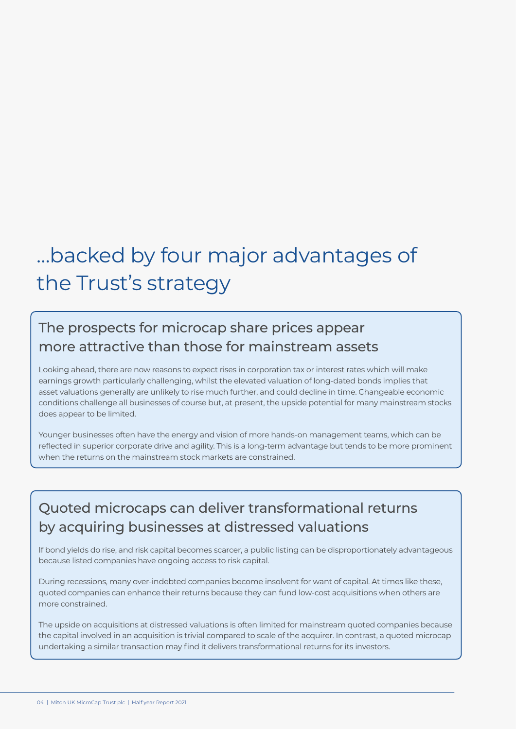## …backed by four major advantages of the Trust's strategy

### The prospects for microcap share prices appear more attractive than those for mainstream assets

Looking ahead, there are now reasons to expect rises in corporation tax or interest rates which will make earnings growth particularly challenging, whilst the elevated valuation of long-dated bonds implies that asset valuations generally are unlikely to rise much further, and could decline in time. Changeable economic conditions challenge all businesses of course but, at present, the upside potential for many mainstream stocks does appear to be limited.

Younger businesses often have the energy and vision of more hands-on management teams, which can be reflected in superior corporate drive and agility. This is a long-term advantage but tends to be more prominent when the returns on the mainstream stock markets are constrained.

### Quoted microcaps can deliver transformational returns by acquiring businesses at distressed valuations

If bond yields do rise, and risk capital becomes scarcer, a public listing can be disproportionately advantageous because listed companies have ongoing access to risk capital.

During recessions, many over-indebted companies become insolvent for want of capital. At times like these, quoted companies can enhance their returns because they can fund low-cost acquisitions when others are more constrained.

The upside on acquisitions at distressed valuations is often limited for mainstream quoted companies because the capital involved in an acquisition is trivial compared to scale of the acquirer. In contrast, a quoted microcap undertaking a similar transaction may find it delivers transformational returns for its investors.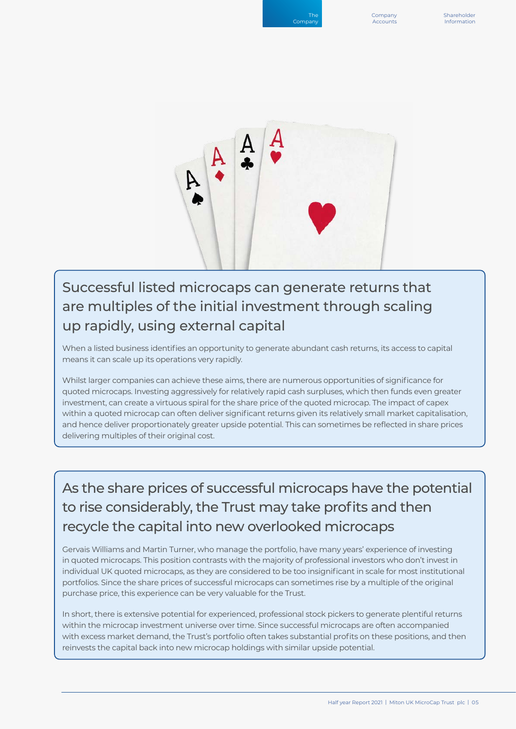Company Accounts **Shareholder** Information



### Successful listed microcaps can generate returns that are multiples of the initial investment through scaling up rapidly, using external capital

When a listed business identifies an opportunity to generate abundant cash returns, its access to capital means it can scale up its operations very rapidly.

Whilst larger companies can achieve these aims, there are numerous opportunities of significance for quoted microcaps. Investing aggressively for relatively rapid cash surpluses, which then funds even greater investment, can create a virtuous spiral for the share price of the quoted microcap. The impact of capex within a quoted microcap can often deliver significant returns given its relatively small market capitalisation, and hence deliver proportionately greater upside potential. This can sometimes be reflected in share prices delivering multiples of their original cost.

As the share prices of successful microcaps have the potential to rise considerably, the Trust may take profits and then recycle the capital into new overlooked microcaps

Gervais Williams and Martin Turner, who manage the portfolio, have many years' experience of investing in quoted microcaps. This position contrasts with the majority of professional investors who don't invest in individual UK quoted microcaps, as they are considered to be too insignificant in scale for most institutional portfolios. Since the share prices of successful microcaps can sometimes rise by a multiple of the original purchase price, this experience can be very valuable for the Trust.

In short, there is extensive potential for experienced, professional stock pickers to generate plentiful returns within the microcap investment universe over time. Since successful microcaps are often accompanied with excess market demand, the Trust's portfolio often takes substantial profits on these positions, and then reinvests the capital back into new microcap holdings with similar upside potential.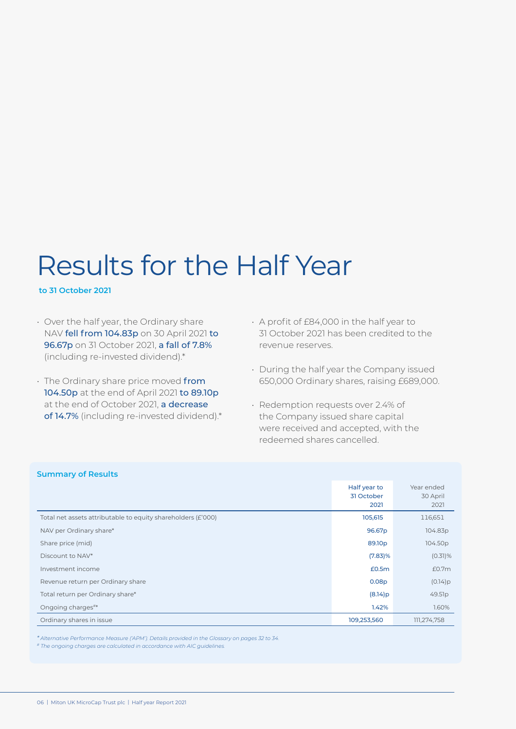## Results for the Half Year

### **to 31 October 2021**

- Over the half year, the Ordinary share NAV fell from 104.83p on 30 April 2021 to 96.67p on 31 October 2021, a fall of 7.8% (including re-invested dividend).\*
- $\cdot$  The Ordinary share price moved from 104.50p at the end of April 2021 to 89.10p at the end of October 2021, a decrease of 14.7% (including re-invested dividend).\*
- A profit of £84,000 in the half year to 31 October 2021 has been credited to the revenue reserves.
- During the half year the Company issued 650,000 Ordinary shares, raising £689,000.
- Redemption requests over 2.4% of the Company issued share capital were received and accepted, with the redeemed shares cancelled.

| <b>Summary of Results</b>                                    |                                    |                                |
|--------------------------------------------------------------|------------------------------------|--------------------------------|
|                                                              | Half year to<br>31 October<br>2021 | Year ended<br>30 April<br>2021 |
| Total net assets attributable to equity shareholders (£'000) | 105,615                            | 116,651                        |
| NAV per Ordinary share*                                      | 96.67 <sub>p</sub>                 | 104.83p                        |
| Share price (mid)                                            | 89.10 <sub>p</sub>                 | 104.50p                        |
| Discount to NAV*                                             | $(7.83)\%$                         | $(0.31)\%$                     |
| Investment income                                            | £0.5m                              | £0.7m                          |
| Revenue return per Ordinary share                            | 0.08 <sub>p</sub>                  | (0.14)p                        |
| Total return per Ordinary share*                             | $(8.14)$ p                         | 49.51p                         |
| Ongoing charges#*                                            | 1.42%                              | 1.60%                          |
| Ordinary shares in issue                                     | 109,253,560                        | 111,274,758                    |

*\* Alternative Performance Measure ('APM'). Details provided in the Glossary on pages 32 to 34.*

*# The ongoing charges are calculated in accordance with AIC guidelines.*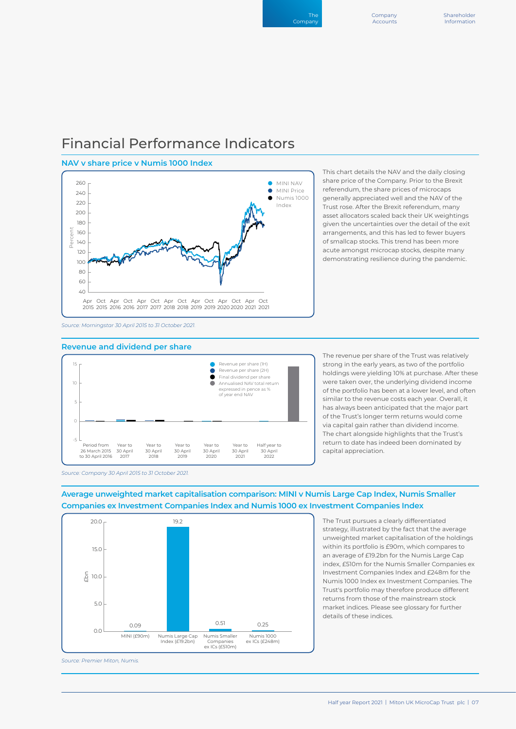Company Account

#### Shareholder Information

### Financial Performance Indicators

**NAV v share price v Numis 1000 Index**



This chart details the NAV and the daily closing share price of the Company. Prior to the Brexit referendum, the share prices of microcaps generally appreciated well and the NAV of the Trust rose. After the Brexit referendum, many asset allocators scaled back their UK weightings given the uncertainties over the detail of the exit arrangements, and this has led to fewer buyers of smallcap stocks. This trend has been more acute amongst microcap stocks, despite many demonstrating resilience during the pandemic.

#### *Source: Morningstar 30 April 2015 to 31 October 2021.*



The revenue per share of the Trust was relatively strong in the early years, as two of the portfolio holdings were yielding 10% at purchase. After these were taken over, the underlying dividend income of the portfolio has been at a lower level, and often similar to the revenue costs each year. Overall, it has always been anticipated that the major part of the Trust's longer term returns would come via capital gain rather than dividend income. The chart alongside highlights that the Trust's return to date has indeed been dominated by capital appreciation.

*Source: Company 30 April 2015 to 31 October 2021.*

### **Average unweighted market capitalisation comparison: MINI v Numis Large Cap Index, Numis Smaller Companies ex Investment Companies Index and Numis 1000 ex Investment Companies Index**



The Trust pursues a clearly differentiated strategy, illustrated by the fact that the average unweighted market capitalisation of the holdings within its portfolio is £90m, which compares to an average of £19.2bn for the Numis Large Cap index, £510m for the Numis Smaller Companies ex Investment Companies Index and £248m for the Numis 1000 Index ex Investment Companies. The Trust's portfolio may therefore produce different returns from those of the mainstream stock market indices. Please see glossary for further details of these indices.

*Source: Premier Miton, Numis.*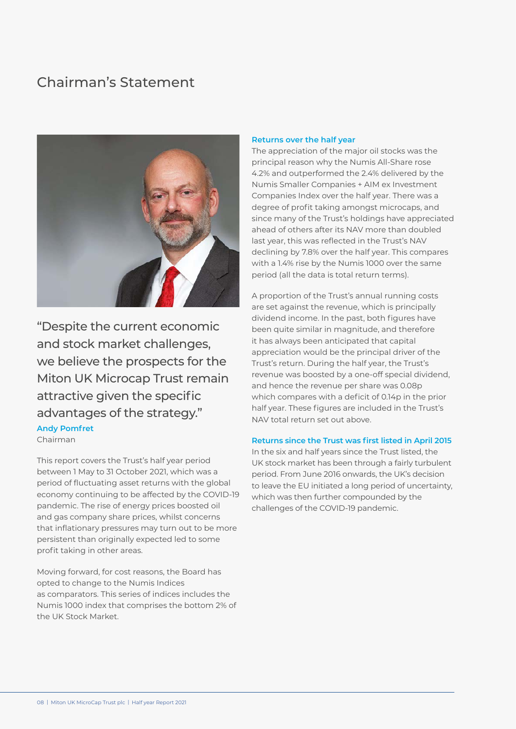### Chairman's Statement



"Despite the current economic and stock market challenges, we believe the prospects for the Miton UK Microcap Trust remain attractive given the specific advantages of the strategy." **Andy Pomfret**

Chairman

This report covers the Trust's half year period between 1 May to 31 October 2021, which was a period of fluctuating asset returns with the global economy continuing to be affected by the COVID-19 pandemic. The rise of energy prices boosted oil and gas company share prices, whilst concerns that inflationary pressures may turn out to be more persistent than originally expected led to some profit taking in other areas.

Moving forward, for cost reasons, the Board has opted to change to the Numis Indices as comparators. This series of indices includes the Numis 1000 index that comprises the bottom 2% of the UK Stock Market.

### **Returns over the half year**

The appreciation of the major oil stocks was the principal reason why the Numis All-Share rose 4.2% and outperformed the 2.4% delivered by the Numis Smaller Companies + AIM ex Investment Companies Index over the half year. There was a degree of profit taking amongst microcaps, and since many of the Trust's holdings have appreciated ahead of others after its NAV more than doubled last year, this was reflected in the Trust's NAV declining by 7.8% over the half year. This compares with a 1.4% rise by the Numis 1000 over the same period (all the data is total return terms).

A proportion of the Trust's annual running costs are set against the revenue, which is principally dividend income. In the past, both figures have been quite similar in magnitude, and therefore it has always been anticipated that capital appreciation would be the principal driver of the Trust's return. During the half year, the Trust's revenue was boosted by a one-off special dividend, and hence the revenue per share was 0.08p which compares with a deficit of 0.14p in the prior half year. These figures are included in the Trust's NAV total return set out above.

### **Returns since the Trust was first listed in April 2015**

In the six and half years since the Trust listed, the UK stock market has been through a fairly turbulent period. From June 2016 onwards, the UK's decision to leave the EU initiated a long period of uncertainty, which was then further compounded by the challenges of the COVID-19 pandemic.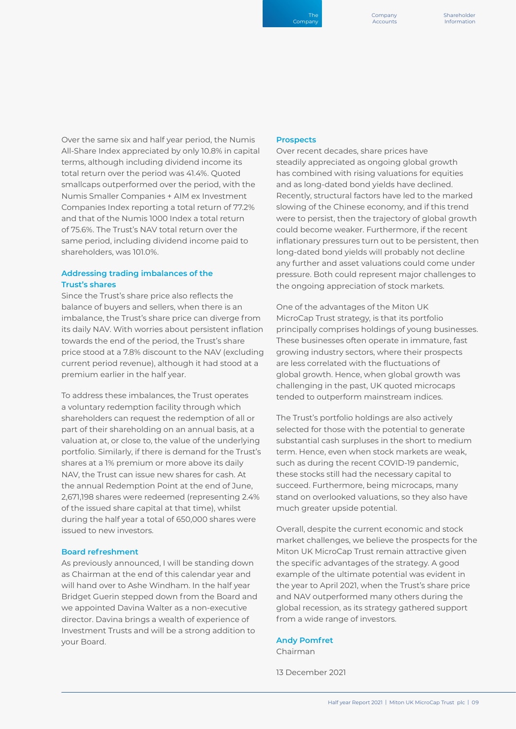Shareholder Information

Over the same six and half year period, the Numis All-Share Index appreciated by only 10.8% in capital terms, although including dividend income its total return over the period was 41.4%. Quoted smallcaps outperformed over the period, with the Numis Smaller Companies + AIM ex Investment Companies Index reporting a total return of 77.2% and that of the Numis 1000 Index a total return of 75.6%. The Trust's NAV total return over the same period, including dividend income paid to shareholders, was 101.0%.

### **Addressing trading imbalances of the Trust's shares**

Since the Trust's share price also reflects the balance of buyers and sellers, when there is an imbalance, the Trust's share price can diverge from its daily NAV. With worries about persistent inflation towards the end of the period, the Trust's share price stood at a 7.8% discount to the NAV (excluding current period revenue), although it had stood at a premium earlier in the half year.

To address these imbalances, the Trust operates a voluntary redemption facility through which shareholders can request the redemption of all or part of their shareholding on an annual basis, at a valuation at, or close to, the value of the underlying portfolio. Similarly, if there is demand for the Trust's shares at a 1% premium or more above its daily NAV, the Trust can issue new shares for cash. At the annual Redemption Point at the end of June, 2,671,198 shares were redeemed (representing 2.4% of the issued share capital at that time), whilst during the half year a total of 650,000 shares were issued to new investors.

### **Board refreshment**

As previously announced, I will be standing down as Chairman at the end of this calendar year and will hand over to Ashe Windham. In the half year Bridget Guerin stepped down from the Board and we appointed Davina Walter as a non-executive director. Davina brings a wealth of experience of Investment Trusts and will be a strong addition to your Board.

### **Prospects**

Over recent decades, share prices have steadily appreciated as ongoing global growth has combined with rising valuations for equities and as long-dated bond yields have declined. Recently, structural factors have led to the marked slowing of the Chinese economy, and if this trend were to persist, then the trajectory of global growth could become weaker. Furthermore, if the recent inflationary pressures turn out to be persistent, then long-dated bond yields will probably not decline any further and asset valuations could come under pressure. Both could represent major challenges to the ongoing appreciation of stock markets.

One of the advantages of the Miton UK MicroCap Trust strategy, is that its portfolio principally comprises holdings of young businesses. These businesses often operate in immature, fast growing industry sectors, where their prospects are less correlated with the fluctuations of global growth. Hence, when global growth was challenging in the past, UK quoted microcaps tended to outperform mainstream indices.

The Trust's portfolio holdings are also actively selected for those with the potential to generate substantial cash surpluses in the short to medium term. Hence, even when stock markets are weak, such as during the recent COVID-19 pandemic, these stocks still had the necessary capital to succeed. Furthermore, being microcaps, many stand on overlooked valuations, so they also have much greater upside potential.

Overall, despite the current economic and stock market challenges, we believe the prospects for the Miton UK MicroCap Trust remain attractive given the specific advantages of the strategy. A good example of the ultimate potential was evident in the year to April 2021, when the Trust's share price and NAV outperformed many others during the global recession, as its strategy gathered support from a wide range of investors.

#### **Andy Pomfret**

Chairman

13 December 2021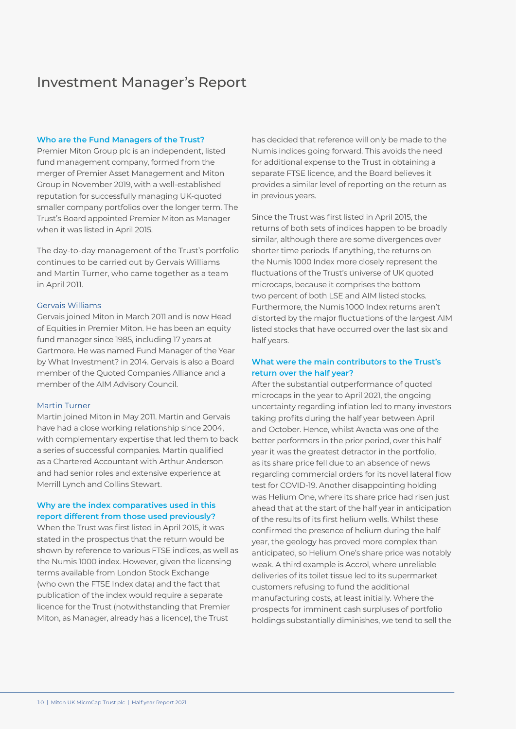### Investment Manager's Report

#### **Who are the Fund Managers of the Trust?**

Premier Miton Group plc is an independent, listed fund management company, formed from the merger of Premier Asset Management and Miton Group in November 2019, with a well-established reputation for successfully managing UK-quoted smaller company portfolios over the longer term. The Trust's Board appointed Premier Miton as Manager when it was listed in April 2015.

The day-to-day management of the Trust's portfolio continues to be carried out by Gervais Williams and Martin Turner, who came together as a team in April 2011.

#### Gervais Williams

Gervais joined Miton in March 2011 and is now Head of Equities in Premier Miton. He has been an equity fund manager since 1985, including 17 years at Gartmore. He was named Fund Manager of the Year by What Investment? in 2014. Gervais is also a Board member of the Quoted Companies Alliance and a member of the AIM Advisory Council.

#### Martin Turner

Martin joined Miton in May 2011. Martin and Gervais have had a close working relationship since 2004, with complementary expertise that led them to back a series of successful companies. Martin qualified as a Chartered Accountant with Arthur Anderson and had senior roles and extensive experience at Merrill Lynch and Collins Stewart.

### **Why are the index comparatives used in this report different from those used previously?**

When the Trust was first listed in April 2015, it was stated in the prospectus that the return would be shown by reference to various FTSE indices, as well as the Numis 1000 index. However, given the licensing terms available from London Stock Exchange (who own the FTSE Index data) and the fact that publication of the index would require a separate licence for the Trust (notwithstanding that Premier Miton, as Manager, already has a licence), the Trust

has decided that reference will only be made to the Numis indices going forward. This avoids the need for additional expense to the Trust in obtaining a separate FTSE licence, and the Board believes it provides a similar level of reporting on the return as in previous years.

Since the Trust was first listed in April 2015, the returns of both sets of indices happen to be broadly similar, although there are some divergences over shorter time periods. If anything, the returns on the Numis 1000 Index more closely represent the fluctuations of the Trust's universe of UK quoted microcaps, because it comprises the bottom two percent of both LSE and AIM listed stocks. Furthermore, the Numis 1000 Index returns aren't distorted by the major fluctuations of the largest AIM listed stocks that have occurred over the last six and half years.

### **What were the main contributors to the Trust's return over the half year?**

After the substantial outperformance of quoted microcaps in the year to April 2021, the ongoing uncertainty regarding inflation led to many investors taking profits during the half year between April and October. Hence, whilst Avacta was one of the better performers in the prior period, over this half year it was the greatest detractor in the portfolio, as its share price fell due to an absence of news regarding commercial orders for its novel lateral flow test for COVID-19. Another disappointing holding was Helium One, where its share price had risen just ahead that at the start of the half year in anticipation of the results of its first helium wells. Whilst these confirmed the presence of helium during the half year, the geology has proved more complex than anticipated, so Helium One's share price was notably weak. A third example is Accrol, where unreliable deliveries of its toilet tissue led to its supermarket customers refusing to fund the additional manufacturing costs, at least initially. Where the prospects for imminent cash surpluses of portfolio holdings substantially diminishes, we tend to sell the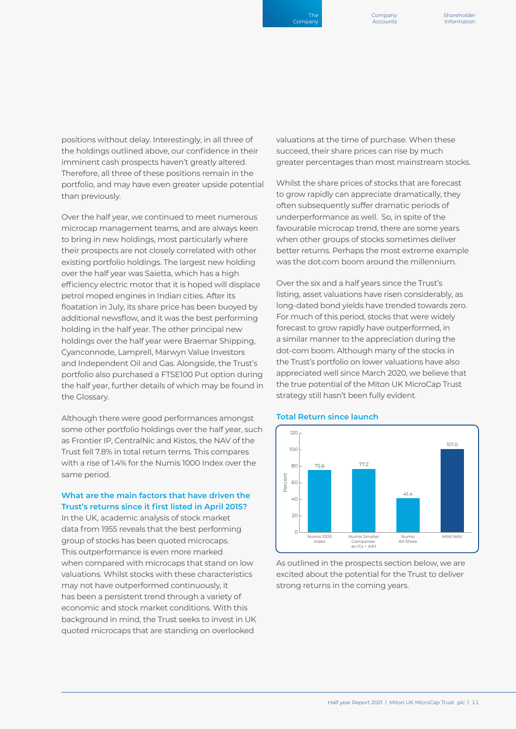positions without delay. Interestingly, in all three of the holdings outlined above, our confidence in their imminent cash prospects haven't greatly altered. Therefore, all three of these positions remain in the portfolio, and may have even greater upside potential than previously.

Over the half year, we continued to meet numerous microcap management teams, and are always keen to bring in new holdings, most particularly where their prospects are not closely correlated with other existing portfolio holdings. The largest new holding over the half year was Saietta, which has a high efficiency electric motor that it is hoped will displace petrol moped engines in Indian cities. After its floatation in July, its share price has been buoyed by additional newsflow, and it was the best performing holding in the half year. The other principal new holdings over the half year were Braemar Shipping, Cyanconnode, Lamprell, Marwyn Value Investors and Independent Oil and Gas. Alongside, the Trust's portfolio also purchased a FTSE100 Put option during the half year, further details of which may be found in the Glossary.

Although there were good performances amongst some other portfolio holdings over the half year, such as Frontier IP, CentralNic and Kistos, the NAV of the Trust fell 7.8% in total return terms. This compares with a rise of 1.4% for the Numis 1000 Index over the same period.

### **What are the main factors that have driven the Trust's returns since it first listed in April 2015?**

In the UK, academic analysis of stock market data from 1955 reveals that the best performing group of stocks has been quoted microcaps. This outperformance is even more marked when compared with microcaps that stand on low valuations. Whilst stocks with these characteristics may not have outperformed continuously, it has been a persistent trend through a variety of economic and stock market conditions. With this background in mind, the Trust seeks to invest in UK quoted microcaps that are standing on overlooked

valuations at the time of purchase. When these succeed, their share prices can rise by much greater percentages than most mainstream stocks.

Whilst the share prices of stocks that are forecast to grow rapidly can appreciate dramatically, they often subsequently suffer dramatic periods of underperformance as well. So, in spite of the favourable microcap trend, there are some years when other groups of stocks sometimes deliver better returns. Perhaps the most extreme example was the dot.com boom around the millennium.

Over the six and a half years since the Trust's listing, asset valuations have risen considerably, as long-dated bond yields have trended towards zero. For much of this period, stocks that were widely forecast to grow rapidly have outperformed, in a similar manner to the appreciation during the dot-com boom. Although many of the stocks in the Trust's portfolio on lower valuations have also appreciated well since March 2020, we believe that the true potential of the Miton UK MicroCap Trust strategy still hasn't been fully evident.



### **Total Return since launch**

As outlined in the prospects section below, we are excited about the potential for the Trust to deliver strong returns in the coming years.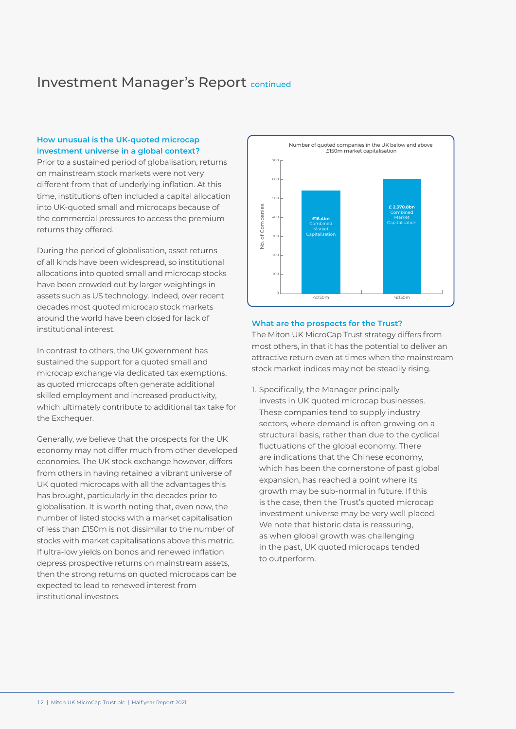### Investment Manager's Report continued

### **How unusual is the UK-quoted microcap investment universe in a global context?**

Prior to a sustained period of globalisation, returns on mainstream stock markets were not very different from that of underlying inflation. At this time, institutions often included a capital allocation into UK-quoted small and microcaps because of the commercial pressures to access the premium returns they offered.

During the period of globalisation, asset returns of all kinds have been widespread, so institutional allocations into quoted small and microcap stocks have been crowded out by larger weightings in assets such as US technology. Indeed, over recent decades most quoted microcap stock markets around the world have been closed for lack of institutional interest.

In contrast to others, the UK government has sustained the support for a quoted small and microcap exchange via dedicated tax exemptions, as quoted microcaps often generate additional skilled employment and increased productivity, which ultimately contribute to additional tax take for the Exchequer.

Generally, we believe that the prospects for the UK economy may not differ much from other developed economies. The UK stock exchange however, differs from others in having retained a vibrant universe of UK quoted microcaps with all the advantages this has brought, particularly in the decades prior to globalisation. It is worth noting that, even now, the number of listed stocks with a market capitalisation of less than £150m is not dissimilar to the number of stocks with market capitalisations above this metric. If ultra-low yields on bonds and renewed inflation depress prospective returns on mainstream assets, then the strong returns on quoted microcaps can be expected to lead to renewed interest from institutional investors.



### **What are the prospects for the Trust?**

The Miton UK MicroCap Trust strategy differs from most others, in that it has the potential to deliver an attractive return even at times when the mainstream stock market indices may not be steadily rising.

1. Specifically, the Manager principally invests in UK quoted microcap businesses. These companies tend to supply industry sectors, where demand is often growing on a structural basis, rather than due to the cyclical fluctuations of the global economy. There are indications that the Chinese economy, which has been the cornerstone of past global expansion, has reached a point where its growth may be sub-normal in future. If this is the case, then the Trust's quoted microcap investment universe may be very well placed. We note that historic data is reassuring, as when global growth was challenging in the past, UK quoted microcaps tended to outperform.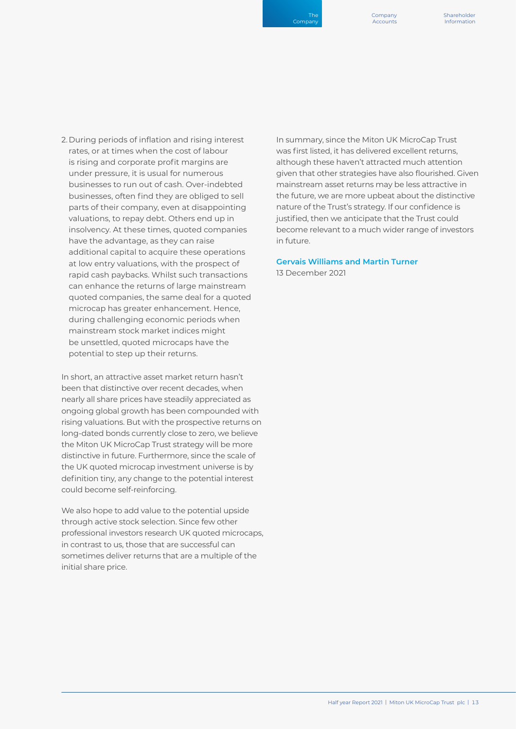2. During periods of inflation and rising interest rates, or at times when the cost of labour is rising and corporate profit margins are under pressure, it is usual for numerous businesses to run out of cash. Over-indebted businesses, often find they are obliged to sell parts of their company, even at disappointing valuations, to repay debt. Others end up in insolvency. At these times, quoted companies have the advantage, as they can raise additional capital to acquire these operations at low entry valuations, with the prospect of rapid cash paybacks. Whilst such transactions can enhance the returns of large mainstream quoted companies, the same deal for a quoted microcap has greater enhancement. Hence, during challenging economic periods when mainstream stock market indices might be unsettled, quoted microcaps have the potential to step up their returns.

In short, an attractive asset market return hasn't been that distinctive over recent decades, when nearly all share prices have steadily appreciated as ongoing global growth has been compounded with rising valuations. But with the prospective returns on long-dated bonds currently close to zero, we believe the Miton UK MicroCap Trust strategy will be more distinctive in future. Furthermore, since the scale of the UK quoted microcap investment universe is by definition tiny, any change to the potential interest could become self-reinforcing.

We also hope to add value to the potential upside through active stock selection. Since few other professional investors research UK quoted microcaps, in contrast to us, those that are successful can sometimes deliver returns that are a multiple of the initial share price.

In summary, since the Miton UK MicroCap Trust was first listed, it has delivered excellent returns, although these haven't attracted much attention given that other strategies have also flourished. Given mainstream asset returns may be less attractive in the future, we are more upbeat about the distinctive nature of the Trust's strategy. If our confidence is justified, then we anticipate that the Trust could become relevant to a much wider range of investors in future.

### **Gervais Williams and Martin Turner**

13 December 2021

The Company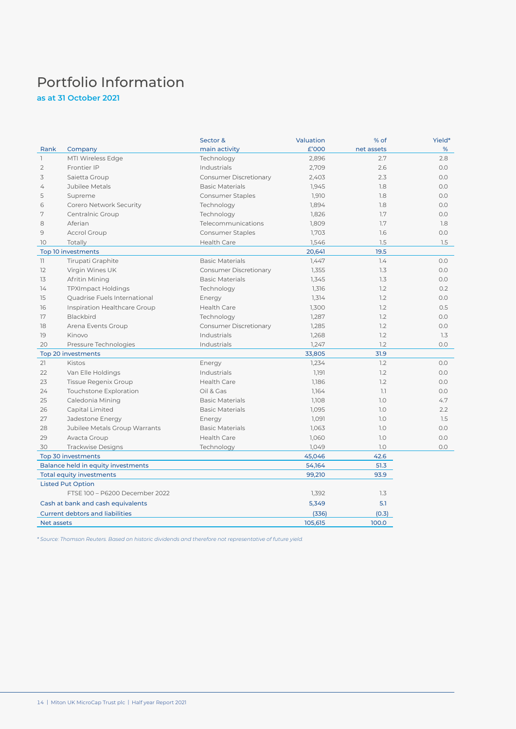## Portfolio Information

**as at 31 October 2021**

|                          |                                        | Sector &                      | Valuation | % of       | Yield* |  |
|--------------------------|----------------------------------------|-------------------------------|-----------|------------|--------|--|
| Rank                     | Company                                | main activity                 | £'000     | net assets | %      |  |
| $\overline{1}$           | MTI Wireless Edge                      | Technology                    | 2,896     | 2.7        | 2.8    |  |
| $\overline{2}$           | Frontier IP                            | Industrials                   | 2,709     | 2.6        | 0.0    |  |
| 3                        | Saietta Group                          | <b>Consumer Discretionary</b> | 2,403     | 2.3        | 0.0    |  |
| $\overline{4}$           | Jubilee Metals                         | <b>Basic Materials</b>        | 1,945     | 1.8        | 0.0    |  |
| 5                        | Supreme                                | Consumer Staples              | 1,910     | 1.8        | 0.0    |  |
| 6                        | Corero Network Security                | Technology                    | 1,894     | 1.8        | 0.0    |  |
| 7                        | Centralnic Group                       | Technology                    | 1,826     | 1.7        | 0.0    |  |
| 8                        | Aferian                                | Telecommunications            | 1,809     | 1.7        | 1.8    |  |
| 9                        | <b>Accrol Group</b>                    | <b>Consumer Staples</b>       | 1,703     | 1.6        | 0.0    |  |
| 10                       | Totally                                | <b>Health Care</b>            | 1.546     | 1.5        | 1.5    |  |
|                          | Top 10 investments                     |                               | 20,641    | 19.5       |        |  |
| $\overline{\phantom{a}}$ | Tirupati Graphite                      | <b>Basic Materials</b>        | 1,447     | 7.4        | 0.0    |  |
| 12                       | Virgin Wines UK                        | <b>Consumer Discretionary</b> | 1,355     | 1.3        | 0.0    |  |
| 13                       | Afritin Mining                         | <b>Basic Materials</b>        | 1,345     | 1.3        | 0.0    |  |
| 14                       | <b>TPXImpact Holdings</b>              | Technology                    | 1,316     | 1.2        | 0.2    |  |
| 15                       | Quadrise Fuels International           | Energy                        | 1,314     | 1.2        | 0.0    |  |
| 16                       | Inspiration Healthcare Group           | <b>Health Care</b>            | 1,300     | 1.2        | 0.5    |  |
| 17                       | Blackbird                              | Technology                    | 1,287     | 1.2        | 0.0    |  |
| 18                       | Arena Events Group                     | <b>Consumer Discretionary</b> | 1,285     | 1.2        | 0.0    |  |
| 19                       | Kinovo                                 | Industrials                   | 1,268     | 1.2        | 1.3    |  |
| 20                       | Pressure Technologies                  | Industrials                   | 1,247     | 1.2        | 0.0    |  |
|                          | <b>Top 20 investments</b>              |                               | 33,805    | 31.9       |        |  |
| 21                       | <b>Kistos</b>                          | Energy                        | 1,234     | 1.2        | 0.0    |  |
| 22                       | Van Elle Holdings                      | Industrials                   | 1,191     | 1.2        | 0.0    |  |
| 23                       | <b>Tissue Regenix Group</b>            | <b>Health Care</b>            | 1,186     | 1.2        | 0.0    |  |
| 24                       | Touchstone Exploration                 | Oil & Gas                     | 1,164     | 1.1        | 0.0    |  |
| 25                       | Caledonia Mining                       | <b>Basic Materials</b>        | 1,108     | 7.0        | 4.7    |  |
| 26                       | Capital Limited                        | <b>Basic Materials</b>        | 1,095     | 7.0        | 2.2    |  |
| 27                       | Jadestone Energy                       | Energy                        | 1,091     | 7.0        | 1.5    |  |
| 28                       | Jubilee Metals Group Warrants          | <b>Basic Materials</b>        | 1,063     | 7.0        | 0.0    |  |
| 29                       | Avacta Group                           | <b>Health Care</b>            | 1,060     | 7.0        | 0.0    |  |
| 30                       | <b>Trackwise Designs</b>               | Technology                    | 1,049     | 7.0        | 0.0    |  |
|                          | Top 30 investments                     |                               | 45,046    | 42.6       |        |  |
|                          | Balance held in equity investments     |                               | 54,164    | 51.3       |        |  |
|                          | Total equity investments               |                               | 99,210    | 93.9       |        |  |
|                          | <b>Listed Put Option</b>               |                               |           |            |        |  |
|                          | FTSE 100 - P6200 December 2022         |                               | 1,392     | 1.3        |        |  |
|                          | Cash at bank and cash equivalents      |                               | 5,349     | 5.1        |        |  |
|                          | <b>Current debtors and liabilities</b> |                               | (336)     | (0.3)      |        |  |
| <b>Net assets</b>        |                                        |                               | 105,615   | 100.0      |        |  |

*\* Source: Thomson Reuters. Based on historic dividends and therefore not representative of future yield.*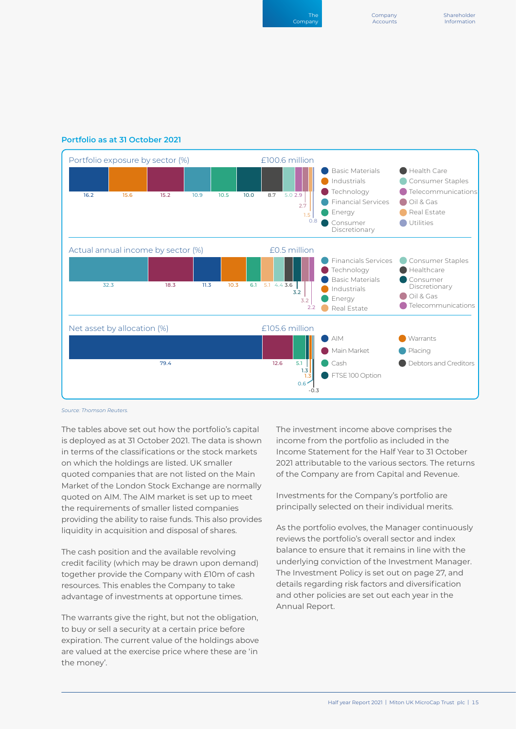### **Portfolio as at 31 October 2021**



*Source: Thomson Reuters.*

The tables above set out how the portfolio's capital is deployed as at 31 October 2021. The data is shown in terms of the classifications or the stock markets on which the holdings are listed. UK smaller quoted companies that are not listed on the Main Market of the London Stock Exchange are normally quoted on AIM. The AIM market is set up to meet the requirements of smaller listed companies providing the ability to raise funds. This also provides liquidity in acquisition and disposal of shares.

The cash position and the available revolving credit facility (which may be drawn upon demand) together provide the Company with £10m of cash resources. This enables the Company to take advantage of investments at opportune times.

The warrants give the right, but not the obligation, to buy or sell a security at a certain price before expiration. The current value of the holdings above are valued at the exercise price where these are 'in the money'.

The investment income above comprises the income from the portfolio as included in the Income Statement for the Half Year to 31 October 2021 attributable to the various sectors. The returns of the Company are from Capital and Revenue.

Investments for the Company's portfolio are principally selected on their individual merits.

As the portfolio evolves, the Manager continuously reviews the portfolio's overall sector and index balance to ensure that it remains in line with the underlying conviction of the Investment Manager. The Investment Policy is set out on page 27, and details regarding risk factors and diversification and other policies are set out each year in the Annual Report.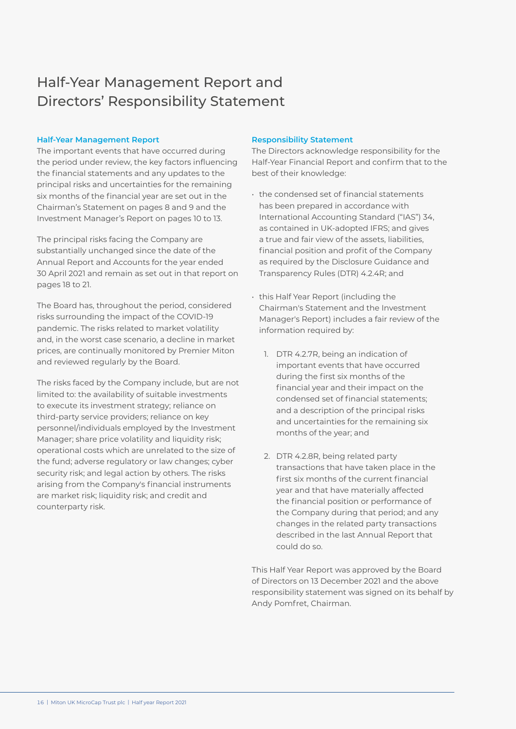### Half-Year Management Report and Directors' Responsibility Statement

### **Half-Year Management Report**

The important events that have occurred during the period under review, the key factors influencing the financial statements and any updates to the principal risks and uncertainties for the remaining six months of the financial year are set out in the Chairman's Statement on pages 8 and 9 and the Investment Manager's Report on pages 10 to 13.

The principal risks facing the Company are substantially unchanged since the date of the Annual Report and Accounts for the year ended 30 April 2021 and remain as set out in that report on pages 18 to 21.

The Board has, throughout the period, considered risks surrounding the impact of the COVID-19 pandemic. The risks related to market volatility and, in the worst case scenario, a decline in market prices, are continually monitored by Premier Miton and reviewed regularly by the Board.

The risks faced by the Company include, but are not limited to: the availability of suitable investments to execute its investment strategy; reliance on third-party service providers; reliance on key personnel/individuals employed by the Investment Manager; share price volatility and liquidity risk; operational costs which are unrelated to the size of the fund; adverse regulatory or law changes; cyber security risk; and legal action by others. The risks arising from the Company's financial instruments are market risk; liquidity risk; and credit and counterparty risk.

### **Responsibility Statement**

The Directors acknowledge responsibility for the Half-Year Financial Report and confirm that to the best of their knowledge:

- the condensed set of financial statements has been prepared in accordance with International Accounting Standard ("IAS") 34, as contained in UK-adopted IFRS; and gives a true and fair view of the assets, liabilities, financial position and profit of the Company as required by the Disclosure Guidance and Transparency Rules (DTR) 4.2.4R; and
- this Half Year Report (including the Chairman's Statement and the Investment Manager's Report) includes a fair review of the information required by:
	- 1. DTR 4.2.7R, being an indication of important events that have occurred during the first six months of the financial year and their impact on the condensed set of financial statements; and a description of the principal risks and uncertainties for the remaining six months of the year; and
	- 2. DTR 4.2.8R, being related party transactions that have taken place in the first six months of the current financial year and that have materially affected the financial position or performance of the Company during that period; and any changes in the related party transactions described in the last Annual Report that could do so.

This Half Year Report was approved by the Board of Directors on 13 December 2021 and the above responsibility statement was signed on its behalf by Andy Pomfret, Chairman.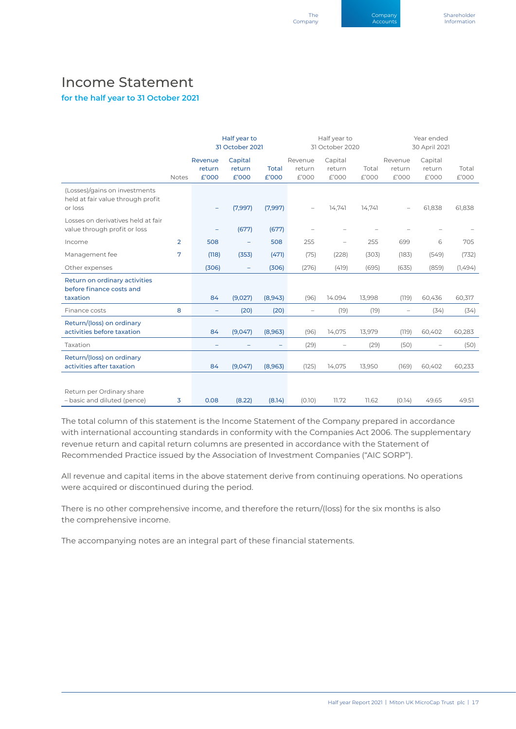### Income Statement

### **for the half year to 31 October 2021**

|                                                                               |                |         | Half year to             |              | Half year to             |                 |        | Year ended               |               |         |
|-------------------------------------------------------------------------------|----------------|---------|--------------------------|--------------|--------------------------|-----------------|--------|--------------------------|---------------|---------|
|                                                                               |                |         | 31 October 2021          |              |                          | 31 October 2020 |        |                          | 30 April 2021 |         |
|                                                                               |                | Revenue | Capital                  |              | Revenue                  | Capital         |        | Revenue                  | Capital       |         |
|                                                                               |                | return  | return                   | <b>Total</b> | return                   | return          | Total  | return                   | return        | Total   |
|                                                                               | <b>Notes</b>   | £'000   | £'000                    | £'000        | £'000                    | £'000           | £'000  | £'000                    | £'000         | £'000   |
| (Losses)/gains on investments<br>held at fair value through profit<br>or loss |                |         | (7,997)                  | (7,997)      |                          | 14,741          | 14,741 |                          | 61,838        | 61,838  |
| Losses on derivatives held at fair<br>value through profit or loss            |                | -       | (677)                    | (677)        |                          |                 |        |                          |               |         |
| Income                                                                        | $\overline{2}$ | 508     | $\overline{\phantom{0}}$ | 508          | 255                      | -               | 255    | 699                      | 6             | 705     |
| Management fee                                                                | 7              | (118)   | (353)                    | (471)        | (75)                     | (228)           | (303)  | (183)                    | (549)         | (732)   |
| Other expenses                                                                |                | (306)   | -                        | (306)        | (276)                    | (419)           | (695)  | (635)                    | (859)         | (1,494) |
| Return on ordinary activities<br>before finance costs and<br>taxation         |                | 84      | (9,027)                  | (8,943)      | (96)                     | 14.094          | 13,998 | (119)                    | 60,436        | 60,317  |
|                                                                               |                |         |                          |              |                          |                 |        |                          |               |         |
| Finance costs                                                                 | 8              | -       | (20)                     | (20)         | $\overline{\phantom{0}}$ | (19)            | (19)   | $\overline{\phantom{m}}$ | (34)          | (34)    |
| Return/(loss) on ordinary<br>activities before taxation                       |                | 84      | (9,047)                  | (8,963)      | (96)                     | 14,075          | 13,979 | (119)                    | 60,402        | 60,283  |
| Taxation                                                                      |                |         |                          | -            | (29)                     |                 | (29)   | (50)                     | -             | (50)    |
| Return/(loss) on ordinary<br>activities after taxation                        |                | 84      | (9,047)                  | (8,963)      | (125)                    | 14,075          | 13,950 | (169)                    | 60,402        | 60,233  |
| Return per Ordinary share<br>- basic and diluted (pence)                      | 3              | 0.08    | (8.22)                   | (8.14)       | (0.10)                   | 11.72           | 11.62  | (0.14)                   | 49.65         | 49.51   |

The total column of this statement is the Income Statement of the Company prepared in accordance with international accounting standards in conformity with the Companies Act 2006. The supplementary revenue return and capital return columns are presented in accordance with the Statement of Recommended Practice issued by the Association of Investment Companies ("AIC SORP").

All revenue and capital items in the above statement derive from continuing operations. No operations were acquired or discontinued during the period.

There is no other comprehensive income, and therefore the return/(loss) for the six months is also the comprehensive income.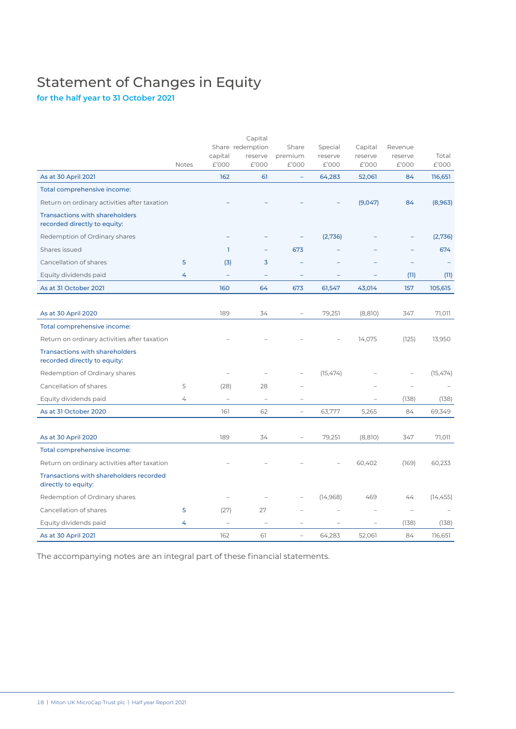### Statement of Changes in Equity

**for the half year to 31 October 2021**

|                                                                       |       |                          | Capital          |                          |           |         |         |           |
|-----------------------------------------------------------------------|-------|--------------------------|------------------|--------------------------|-----------|---------|---------|-----------|
|                                                                       |       |                          | Share redemption | Share                    | Special   | Capital | Revenue |           |
|                                                                       |       | capital                  | reserve          | premium                  | reserve   | reserve | reserve | Total     |
|                                                                       | Notes | £'000                    | £'000            | £'000                    | £'000     | £'000   | £'000   | £'000     |
| As at 30 April 2021                                                   |       | 162                      | 61               | $\equiv$                 | 64,283    | 52,061  | 84      | 116,651   |
| Total comprehensive income:                                           |       |                          |                  |                          |           |         |         |           |
| Return on ordinary activities after taxation                          |       |                          |                  |                          |           | (9,047) | 84      | (8,963)   |
| <b>Transactions with shareholders</b><br>recorded directly to equity: |       |                          |                  |                          |           |         |         |           |
| Redemption of Ordinary shares                                         |       |                          |                  |                          | (2,736)   |         |         | (2,736)   |
| Shares issued                                                         |       | $\mathbf{I}$             |                  | 673                      |           |         |         | 674       |
| Cancellation of shares                                                | 5     | (3)                      | 3                |                          |           |         |         |           |
| Equity dividends paid                                                 | 4     |                          |                  |                          |           |         | (11)    | (11)      |
| As at 31 October 2021                                                 |       | 160                      | 64               | 673                      | 61,547    | 43,014  | 157     | 105,615   |
|                                                                       |       |                          |                  |                          |           |         |         |           |
| As at 30 April 2020                                                   |       | 189                      | 34               |                          | 79,251    | (8,810) | 347     | 71,011    |
| Total comprehensive income:                                           |       |                          |                  |                          |           |         |         |           |
| Return on ordinary activities after taxation                          |       |                          |                  |                          |           | 14,075  | (125)   | 13,950    |
| <b>Transactions with shareholders</b><br>recorded directly to equity: |       |                          |                  |                          |           |         |         |           |
| Redemption of Ordinary shares                                         |       |                          |                  |                          | (15, 474) |         |         | (15, 474) |
| Cancellation of shares                                                | 5     | (28)                     | 28               |                          |           |         |         |           |
| Equity dividends paid                                                 | 4     | $\overline{\phantom{0}}$ | $\equiv$         |                          |           |         | (138)   | (138)     |
| As at 31 October 2020                                                 |       | 161                      | 62               | $\overline{\phantom{a}}$ | 63,777    | 5,265   | 84      | 69,349    |
|                                                                       |       |                          |                  |                          |           |         |         |           |
| As at 30 April 2020                                                   |       | 189                      | 34               |                          | 79,251    | (8,810) | 347     | 71,011    |
| Total comprehensive income:                                           |       |                          |                  |                          |           |         |         |           |
| Return on ordinary activities after taxation                          |       |                          |                  |                          |           | 60,402  | (169)   | 60,233    |
| Transactions with shareholders recorded<br>directly to equity:        |       |                          |                  |                          |           |         |         |           |
| Redemption of Ordinary shares                                         |       |                          |                  |                          | (14, 968) | 469     | 44      | (14, 455) |
| Cancellation of shares                                                | 5     | (27)                     | 27               |                          |           |         |         |           |
| Equity dividends paid                                                 | 4     |                          |                  |                          |           |         | (138)   | (138)     |
| As at 30 April 2021                                                   |       | 162                      | 61               |                          | 64,283    | 52.061  | 84      | 116,651   |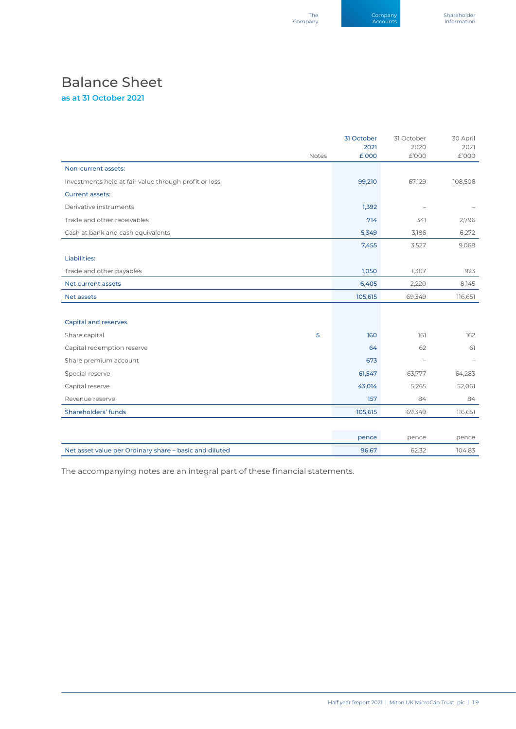### Balance Sheet

**as at 31 October 2021**

|                                                        |              | 31 October<br>2021 | 31 October<br>2020 | 30 April<br>2021 |
|--------------------------------------------------------|--------------|--------------------|--------------------|------------------|
|                                                        | <b>Notes</b> | £'000              | £'000              | £'000            |
| Non-current assets:                                    |              |                    |                    |                  |
| Investments held at fair value through profit or loss  |              | 99,210             | 67,129             | 108,506          |
| <b>Current assets:</b>                                 |              |                    |                    |                  |
| Derivative instruments                                 |              | 1,392              |                    |                  |
| Trade and other receivables                            |              | 714                | 341                | 2,796            |
| Cash at bank and cash equivalents                      |              | 5,349              | 3,186              | 6,272            |
|                                                        |              | 7,455              | 3,527              | 9,068            |
| Liabilities:                                           |              |                    |                    |                  |
| Trade and other payables                               |              | 1,050              | 1,307              | 923              |
| Net current assets                                     |              | 6,405              | 2,220              | 8,145            |
| Net assets                                             |              | 105,615            | 69,349             | 116,651          |
|                                                        |              |                    |                    |                  |
| Capital and reserves                                   |              |                    |                    |                  |
| Share capital                                          | 5            | 160                | 161                | 162              |
| Capital redemption reserve                             |              | 64                 | 62                 | 61               |
| Share premium account                                  |              | 673                |                    |                  |
| Special reserve                                        |              | 61,547             | 63,777             | 64,283           |
| Capital reserve                                        |              | 43,014             | 5,265              | 52,061           |
| Revenue reserve                                        |              | 157                | 84                 | 84               |
| Shareholders' funds                                    |              | 105,615            | 69,349             | 116,651          |
|                                                        |              |                    |                    |                  |
|                                                        |              | pence              | pence              | pence            |
| Net asset value per Ordinary share - basic and diluted |              | 96.67              | 62.32              | 104.83           |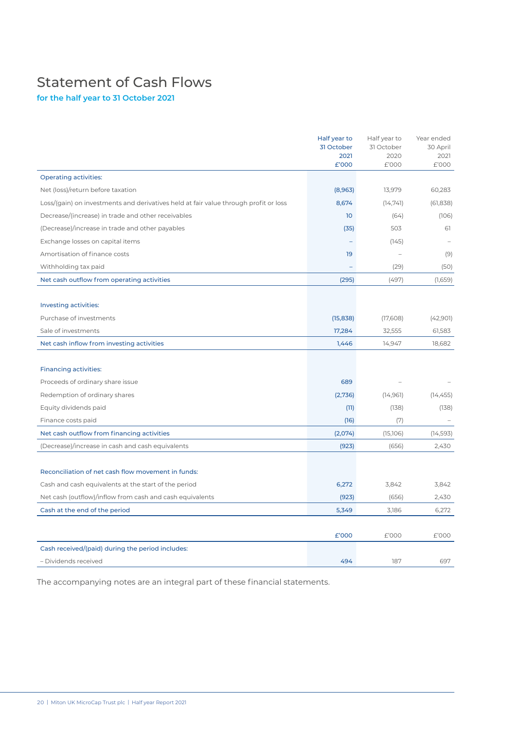### Statement of Cash Flows

**for the half year to 31 October 2021**

|                                                                                      | Half year to<br>31 October<br>2021<br>£'000 | Half year to<br>31 October<br>2020<br>£'000 | Year ended<br>30 April<br>2021<br>£'000 |
|--------------------------------------------------------------------------------------|---------------------------------------------|---------------------------------------------|-----------------------------------------|
| <b>Operating activities:</b>                                                         |                                             |                                             |                                         |
| Net (loss)/return before taxation                                                    | (8,963)                                     | 13,979                                      | 60,283                                  |
| Loss/(gain) on investments and derivatives held at fair value through profit or loss | 8,674                                       | (14, 741)                                   | (61, 838)                               |
| Decrease/(increase) in trade and other receivables                                   | 10 <sup>°</sup>                             | (64)                                        | (106)                                   |
| (Decrease)/increase in trade and other payables                                      | (35)                                        | 503                                         | 61                                      |
| Exchange losses on capital items                                                     |                                             | (145)                                       |                                         |
| Amortisation of finance costs                                                        | 19                                          |                                             | (9)                                     |
| Withholding tax paid                                                                 |                                             | (29)                                        | (50)                                    |
| Net cash outflow from operating activities                                           | (295)                                       | (497)                                       | (1,659)                                 |
| Investing activities:                                                                |                                             |                                             |                                         |
| Purchase of investments                                                              | (15, 838)                                   | (17,608)                                    | (42,901)                                |
| Sale of investments                                                                  | 17,284                                      | 32,555                                      | 61,583                                  |
| Net cash inflow from investing activities                                            | 1,446                                       | 14,947                                      | 18,682                                  |
|                                                                                      |                                             |                                             |                                         |
| <b>Financing activities:</b><br>Proceeds of ordinary share issue                     | 689                                         |                                             |                                         |
|                                                                                      |                                             |                                             |                                         |
| Redemption of ordinary shares<br>Equity dividends paid                               | (2,736)<br>(11)                             | (14, 961)<br>(138)                          | (14, 455)<br>(138)                      |
| Finance costs paid                                                                   |                                             |                                             |                                         |
| Net cash outflow from financing activities                                           | (16)<br>(2,074)                             | (7)                                         | (14, 593)                               |
| (Decrease)/increase in cash and cash equivalents                                     | (923)                                       | (15,106)<br>(656)                           | 2,430                                   |
|                                                                                      |                                             |                                             |                                         |
| Reconciliation of net cash flow movement in funds:                                   |                                             |                                             |                                         |
| Cash and cash equivalents at the start of the period                                 | 6,272                                       | 3,842                                       | 3,842                                   |
| Net cash (outflow)/inflow from cash and cash equivalents                             | (923)                                       | (656)                                       | 2,430                                   |
| Cash at the end of the period                                                        | 5,349                                       | 3,186                                       | 6,272                                   |
|                                                                                      |                                             |                                             |                                         |
|                                                                                      | £'000                                       | £'000                                       | £'000                                   |
| Cash received/(paid) during the period includes:                                     |                                             |                                             |                                         |
| - Dividends received                                                                 | 494                                         | 187                                         | 697                                     |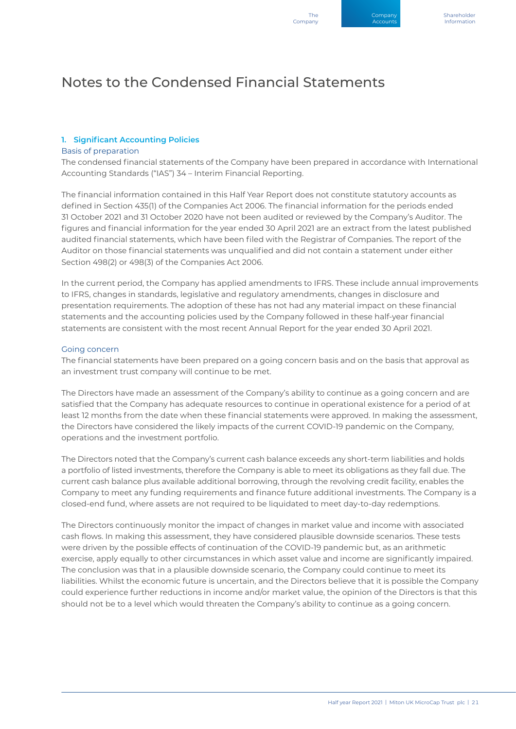### Notes to the Condensed Financial Statements

### **1. Significant Accounting Policies**

### Basis of preparation

The condensed financial statements of the Company have been prepared in accordance with International Accounting Standards ("IAS") 34 – Interim Financial Reporting.

The financial information contained in this Half Year Report does not constitute statutory accounts as defined in Section 435(1) of the Companies Act 2006. The financial information for the periods ended 31 October 2021 and 31 October 2020 have not been audited or reviewed by the Company's Auditor. The figures and financial information for the year ended 30 April 2021 are an extract from the latest published audited financial statements, which have been filed with the Registrar of Companies. The report of the Auditor on those financial statements was unqualified and did not contain a statement under either Section 498(2) or 498(3) of the Companies Act 2006.

In the current period, the Company has applied amendments to IFRS. These include annual improvements to IFRS, changes in standards, legislative and regulatory amendments, changes in disclosure and presentation requirements. The adoption of these has not had any material impact on these financial statements and the accounting policies used by the Company followed in these half-year financial statements are consistent with the most recent Annual Report for the year ended 30 April 2021.

### Going concern

The financial statements have been prepared on a going concern basis and on the basis that approval as an investment trust company will continue to be met.

The Directors have made an assessment of the Company's ability to continue as a going concern and are satisfied that the Company has adequate resources to continue in operational existence for a period of at least 12 months from the date when these financial statements were approved. In making the assessment, the Directors have considered the likely impacts of the current COVID-19 pandemic on the Company, operations and the investment portfolio.

The Directors noted that the Company's current cash balance exceeds any short-term liabilities and holds a portfolio of listed investments, therefore the Company is able to meet its obligations as they fall due. The current cash balance plus available additional borrowing, through the revolving credit facility, enables the Company to meet any funding requirements and finance future additional investments. The Company is a closed-end fund, where assets are not required to be liquidated to meet day-to-day redemptions.

The Directors continuously monitor the impact of changes in market value and income with associated cash flows. In making this assessment, they have considered plausible downside scenarios. These tests were driven by the possible effects of continuation of the COVID-19 pandemic but, as an arithmetic exercise, apply equally to other circumstances in which asset value and income are significantly impaired. The conclusion was that in a plausible downside scenario, the Company could continue to meet its liabilities. Whilst the economic future is uncertain, and the Directors believe that it is possible the Company could experience further reductions in income and/or market value, the opinion of the Directors is that this should not be to a level which would threaten the Company's ability to continue as a going concern.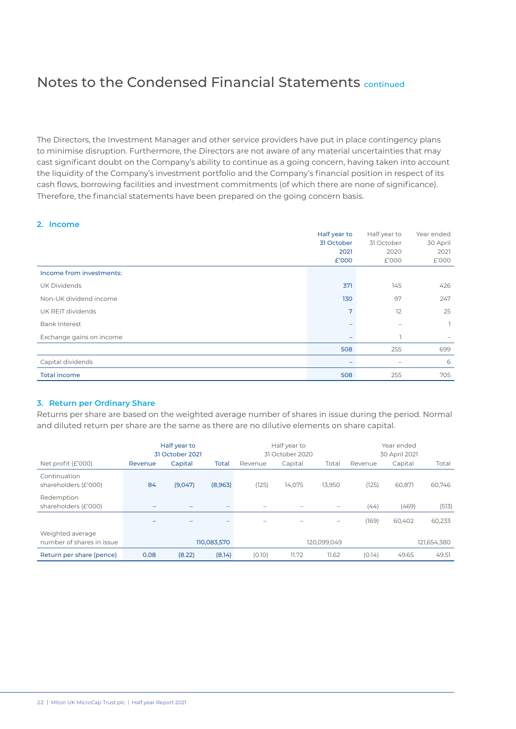### Notes to the Condensed Financial Statements continued

The Directors, the Investment Manager and other service providers have put in place contingency plans to minimise disruption. Furthermore, the Directors are not aware of any material uncertainties that may cast significant doubt on the Company's ability to continue as a going concern, having taken into account the liquidity of the Company's investment portfolio and the Company's financial position in respect of its cash flows, borrowing facilities and investment commitments (of which there are none of significance). Therefore, the financial statements have been prepared on the going concern basis.

### **2. Income**

|                          | Half year to | Half year to | Year ended |
|--------------------------|--------------|--------------|------------|
|                          | 31 October   | 31 October   | 30 April   |
|                          | 2021         | 2020         | 2021       |
|                          | £'000        | £'000        | £'000      |
| Income from investments: |              |              |            |
| <b>UK Dividends</b>      | 371          | 145          | 426        |
| Non-UK dividend income   | 130          | 97           | 247        |
| UK REIT dividends        | 7            | 12           | 25         |
| <b>Bank Interest</b>     |              |              |            |
| Exchange gains on income |              |              |            |
|                          | 508          | 255          | 699        |
| Capital dividends        |              | -            | 6          |
| <b>Total income</b>      | 508          | 255          | 705        |

#### **3. Return per Ordinary Share**

Returns per share are based on the weighted average number of shares in issue during the period. Normal and diluted return per share are the same as there are no dilutive elements on share capital.

|                                               |         | Half year to<br>31 October 2021 |              |         | Half year to<br>31 October 2020 |             | Year ended<br>30 April 2021 |         |             |
|-----------------------------------------------|---------|---------------------------------|--------------|---------|---------------------------------|-------------|-----------------------------|---------|-------------|
| Net profit $(E'000)$                          | Revenue | Capital                         | <b>Total</b> | Revenue | Capital                         | Total       | Revenue                     | Capital | Total       |
| Continuation<br>shareholders (£'000)          | 84      | (9,047)                         | (8,963)      | (125)   | 14.075                          | 13,950      | (125)                       | 60.871  | 60,746      |
| Redemption<br>shareholders (£'000)            |         |                                 |              |         |                                 |             | (44)                        | (469)   | (513)       |
|                                               |         |                                 |              |         |                                 |             | (169)                       | 60,402  | 60,233      |
| Weighted average<br>number of shares in issue |         |                                 | 110,083,570  |         |                                 | 120,099,049 |                             |         | 121,654,380 |
| Return per share (pence)                      | 0.08    | (8.22)                          | (8.14)       | (0.10)  | 11.72                           | 11.62       | (0.14)                      | 49.65   | 49.51       |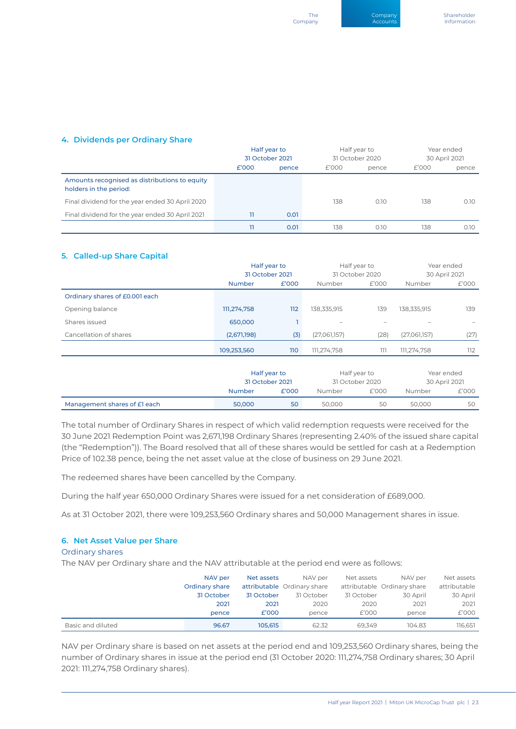### **4. Dividends per Ordinary Share**

|                                                                         |       | Half year to<br>31 October 2021 |       | Half year to<br>31 October 2020 | Year ended<br>30 April 2021 |       |
|-------------------------------------------------------------------------|-------|---------------------------------|-------|---------------------------------|-----------------------------|-------|
|                                                                         | £'000 | pence                           | £'000 | pence                           | £'000                       | pence |
| Amounts recognised as distributions to equity<br>holders in the period: |       |                                 |       |                                 |                             |       |
| Final dividend for the year ended 30 April 2020                         |       |                                 | 138   | 0.10                            | 138                         | 0.10  |
| Final dividend for the year ended 30 April 2021                         | 11.   | 0.01                            |       |                                 |                             |       |
|                                                                         | 11.   | 0.01                            | 138   | 0.10                            | 138                         | 0.10  |

### **5. Called-up Share Capital**

|                                | Half year to<br>31 October 2021 |       |              | Half year to    |               | Year ended    |
|--------------------------------|---------------------------------|-------|--------------|-----------------|---------------|---------------|
|                                |                                 |       |              | 31 October 2020 | 30 April 2021 |               |
|                                | <b>Number</b>                   | £'000 | Number       | £'000           | Number        | £'000         |
| Ordinary shares of £0.001 each |                                 |       |              |                 |               |               |
| Opening balance                | 111,274,758                     | 112   | 138,335,915  | 139             | 138,335,915   | 139           |
| Shares issued                  | 650,000                         |       |              |                 |               |               |
| Cancellation of shares         | (2,671,198)                     | (3)   | (27,061,157) | (28)            | (27,061,157)  | (27)          |
|                                | 109,253,560                     | 110   | 111,274,758  | ווו             | 111,274,758   | 112           |
|                                |                                 |       |              |                 |               |               |
|                                | Half year to<br>31 October 2021 |       |              | Half year to    |               | Year ended    |
|                                |                                 |       |              | 31 October 2020 |               | 30 April 2021 |
|                                | <b>Number</b>                   | £'000 | Number       | £'000           | Number        | £'000         |

The total number of Ordinary Shares in respect of which valid redemption requests were received for the 30 June 2021 Redemption Point was 2,671,198 Ordinary Shares (representing 2.40% of the issued share capital (the "Redemption")). The Board resolved that all of these shares would be settled for cash at a Redemption Price of 102.38 pence, being the net asset value at the close of business on 29 June 2021.

Management shares of £1 each 50 50,000 50 50,000 50 50,000 50 50,000 50

The redeemed shares have been cancelled by the Company.

During the half year 650,000 Ordinary Shares were issued for a net consideration of £689,000.

As at 31 October 2021, there were 109,253,560 Ordinary shares and 50,000 Management shares in issue.

### **6. Net Asset Value per Share**

#### Ordinary shares

The NAV per Ordinary share and the NAV attributable at the period end were as follows:

|                   | NAV per<br>Ordinary share | Net assets | NAV per<br>attributable Ordinary share | Net assets | NAV per<br>attributable Ordinary share | Net assets<br>attributable |
|-------------------|---------------------------|------------|----------------------------------------|------------|----------------------------------------|----------------------------|
|                   | 31 October                | 31 October | 31 October                             | 31 October | 30 April                               | 30 April                   |
|                   | 2021                      | 2021       | 2020                                   | 2020       | 2021                                   | 2021                       |
|                   | pence                     | £'000      | pence                                  | £'000      | pence                                  | £'000                      |
| Basic and diluted | 96.67                     | 105.615    | 62.32                                  | 69.349     | 104.83                                 | 116.651                    |

NAV per Ordinary share is based on net assets at the period end and 109,253,560 Ordinary shares, being the number of Ordinary shares in issue at the period end (31 October 2020: 111,274,758 Ordinary shares; 30 April 2021: 111,274,758 Ordinary shares).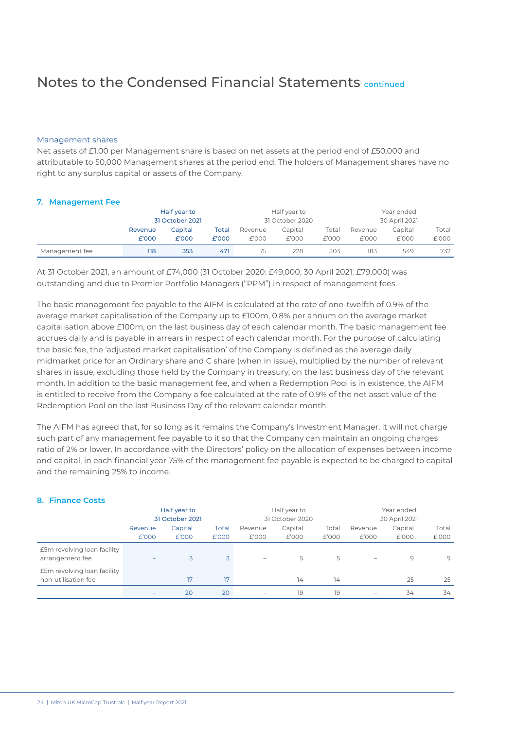### Notes to the Condensed Financial Statements continued

### Management shares

Net assets of £1.00 per Management share is based on net assets at the period end of £50,000 and attributable to 50,000 Management shares at the period end. The holders of Management shares have no right to any surplus capital or assets of the Company.

### **7. Management Fee**

|                | Half year to    |         |       | Half year to    |         |       | Year ended    |         |       |
|----------------|-----------------|---------|-------|-----------------|---------|-------|---------------|---------|-------|
|                | 31 October 2021 |         |       | 31 October 2020 |         |       | 30 April 2021 |         |       |
|                | Revenue         | Capital | Total | Revenue         | Capital | Total | Revenue       | Capital | Total |
|                | £'000           | £'000   | £'000 | £'000           | £'000   | £'000 | £'000         | £'000   | £'000 |
| Management fee | 118             | 353     | 471   | 75              | 228     | 303   | 183           | 549     | 732   |

At 31 October 2021, an amount of £74,000 (31 October 2020: £49,000; 30 April 2021: £79,000) was outstanding and due to Premier Portfolio Managers ("PPM") in respect of management fees.

The basic management fee payable to the AIFM is calculated at the rate of one-twelfth of 0.9% of the average market capitalisation of the Company up to £100m, 0.8% per annum on the average market capitalisation above £100m, on the last business day of each calendar month. The basic management fee accrues daily and is payable in arrears in respect of each calendar month. For the purpose of calculating the basic fee, the 'adjusted market capitalisation' of the Company is defined as the average daily midmarket price for an Ordinary share and C share (when in issue), multiplied by the number of relevant shares in issue, excluding those held by the Company in treasury, on the last business day of the relevant month. In addition to the basic management fee, and when a Redemption Pool is in existence, the AIFM is entitled to receive from the Company a fee calculated at the rate of 0.9% of the net asset value of the Redemption Pool on the last Business Day of the relevant calendar month.

The AIFM has agreed that, for so long as it remains the Company's Investment Manager, it will not charge such part of any management fee payable to it so that the Company can maintain an ongoing charges ratio of 2% or lower. In accordance with the Directors' policy on the allocation of expenses between income and capital, in each financial year 75% of the management fee payable is expected to be charged to capital and the remaining 25% to income.

### **8. Finance Costs**

|                                                    | Half year to<br>31 October 2021 |                  |                | Half year to<br>31 October 2020 |                  |                | Year ended<br>30 April 2021 |                  |                |
|----------------------------------------------------|---------------------------------|------------------|----------------|---------------------------------|------------------|----------------|-----------------------------|------------------|----------------|
|                                                    | Revenue<br>£'000                | Capital<br>£'000 | Total<br>£'000 | Revenue<br>£'000                | Capital<br>£'000 | Total<br>£'000 | Revenue<br>£'000            | Capital<br>£'000 | Total<br>£'000 |
| £5m revolving loan facility<br>arrangement fee     |                                 | 3                | 3              | $\qquad \qquad -$               | 5                | 5              | $\qquad \qquad -$           | 9                | 9              |
| £5m revolving loan facility<br>non-utilisation fee | -                               | 17               | 17             | $\qquad \qquad -$               | 14               | 14             | $\qquad \qquad -$           | 25               | 25             |
|                                                    |                                 | 20               | 20             | $\overline{\phantom{a}}$        | 19               | 19             | $\overline{\phantom{a}}$    | 34               | 34             |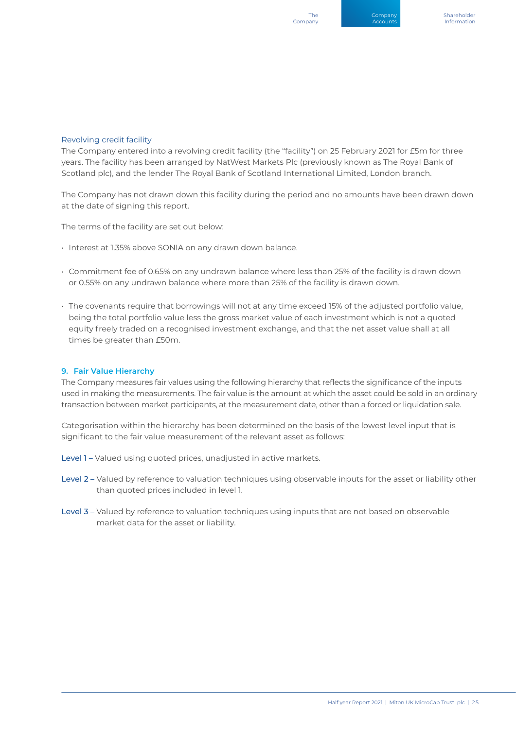### Revolving credit facility

The Company entered into a revolving credit facility (the "facility") on 25 February 2021 for £5m for three years. The facility has been arranged by NatWest Markets Plc (previously known as The Royal Bank of Scotland plc), and the lender The Royal Bank of Scotland International Limited, London branch.

The Company has not drawn down this facility during the period and no amounts have been drawn down at the date of signing this report.

The terms of the facility are set out below:

- Interest at 1.35% above SONIA on any drawn down balance.
- Commitment fee of 0.65% on any undrawn balance where less than 25% of the facility is drawn down or 0.55% on any undrawn balance where more than 25% of the facility is drawn down.
- The covenants require that borrowings will not at any time exceed 15% of the adjusted portfolio value, being the total portfolio value less the gross market value of each investment which is not a quoted equity freely traded on a recognised investment exchange, and that the net asset value shall at all times be greater than £50m.

### **9. Fair Value Hierarchy**

The Company measures fair values using the following hierarchy that reflects the significance of the inputs used in making the measurements. The fair value is the amount at which the asset could be sold in an ordinary transaction between market participants, at the measurement date, other than a forced or liquidation sale.

Categorisation within the hierarchy has been determined on the basis of the lowest level input that is significant to the fair value measurement of the relevant asset as follows:

- Level 1 Valued using quoted prices, unadjusted in active markets.
- Level 2 Valued by reference to valuation techniques using observable inputs for the asset or liability other than quoted prices included in level 1.
- Level 3 Valued by reference to valuation techniques using inputs that are not based on observable market data for the asset or liability.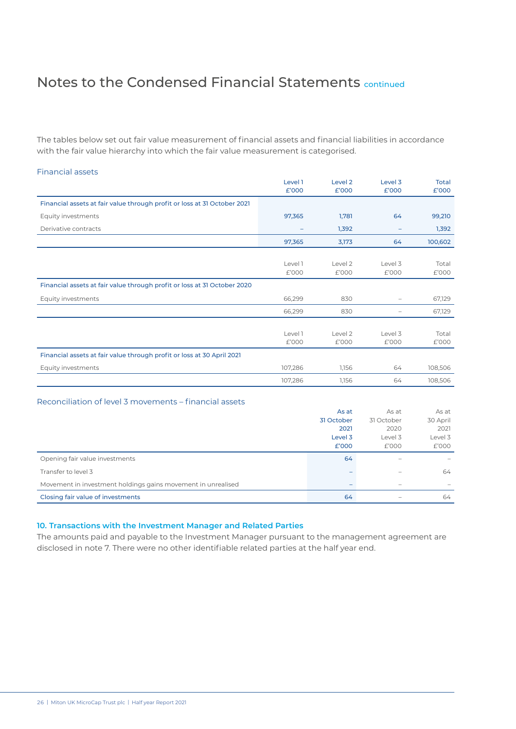### Notes to the Condensed Financial Statements continued

The tables below set out fair value measurement of financial assets and financial liabilities in accordance with the fair value hierarchy into which the fair value measurement is categorised.

### Financial assets

|                                                                          | Level 1 | Level <sub>2</sub> | Level <sub>3</sub> | <b>Total</b> |
|--------------------------------------------------------------------------|---------|--------------------|--------------------|--------------|
|                                                                          | £'000   | £'000              | £'000              | £'000        |
| Financial assets at fair value through profit or loss at 31 October 2021 |         |                    |                    |              |
| Equity investments                                                       | 97,365  | 1,781              | 64                 | 99,210       |
| Derivative contracts                                                     | -       | 1,392              | -                  | 1,392        |
|                                                                          | 97,365  | 3,173              | 64                 | 100,602      |
|                                                                          |         |                    |                    |              |
|                                                                          | Level 1 | Level 2            | Level 3            | Total        |
|                                                                          | £'000   | £'000              | £'000              | £'000        |
| Financial assets at fair value through profit or loss at 31 October 2020 |         |                    |                    |              |
| Equity investments                                                       | 66,299  | 830                | $\qquad \qquad -$  | 67,129       |
|                                                                          | 66,299  | 830                |                    | 67,129       |
|                                                                          |         |                    |                    |              |
|                                                                          | Level 1 | Level 2            | Level 3            | Total        |
|                                                                          | £'000   | £'000              | £'000              | £'000        |
| Financial assets at fair value through profit or loss at 30 April 2021   |         |                    |                    |              |
| Equity investments                                                       | 107,286 | 1,156              | 64                 | 108,506      |
|                                                                          | 107,286 | 1,156              | 64                 | 108,506      |

### Reconciliation of level 3 movements – financial assets

|                                                              | As at      | As at      | As at    |
|--------------------------------------------------------------|------------|------------|----------|
|                                                              | 31 October | 31 October | 30 April |
|                                                              | 2021       | 2020       | 2021     |
|                                                              | Level 3    | Level 3    | Level 3  |
|                                                              | £'000      | £'000      | £'000    |
| Opening fair value investments                               | 64         | -          |          |
| Transfer to level 3                                          | -          | -          | 64       |
| Movement in investment holdings gains movement in unrealised | -          | -          |          |
| Closing fair value of investments                            | 64         |            | 64       |

### **10. Transactions with the Investment Manager and Related Parties**

The amounts paid and payable to the Investment Manager pursuant to the management agreement are disclosed in note 7. There were no other identifiable related parties at the half year end.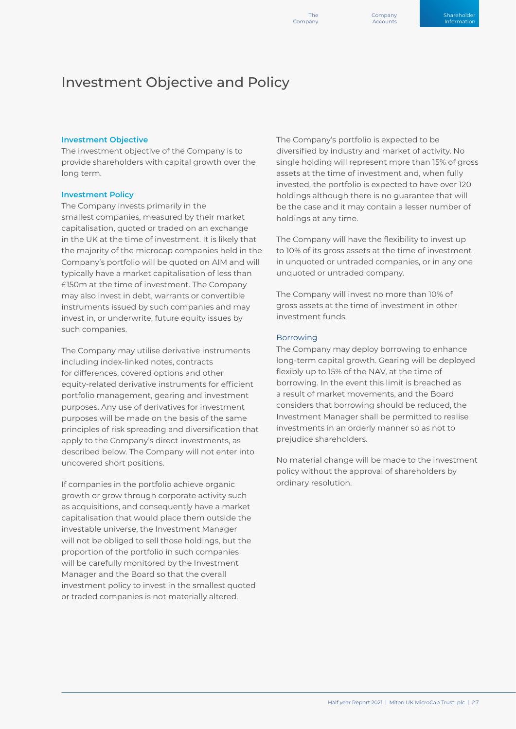### Investment Objective and Policy

### **Investment Objective**

The investment objective of the Company is to provide shareholders with capital growth over the long term.

### **Investment Policy**

The Company invests primarily in the smallest companies, measured by their market capitalisation, quoted or traded on an exchange in the UK at the time of investment. It is likely that the majority of the microcap companies held in the Company's portfolio will be quoted on AIM and will typically have a market capitalisation of less than £150m at the time of investment. The Company may also invest in debt, warrants or convertible instruments issued by such companies and may invest in, or underwrite, future equity issues by such companies.

The Company may utilise derivative instruments including index-linked notes, contracts for differences, covered options and other equity-related derivative instruments for efficient portfolio management, gearing and investment purposes. Any use of derivatives for investment purposes will be made on the basis of the same principles of risk spreading and diversification that apply to the Company's direct investments, as described below. The Company will not enter into uncovered short positions.

If companies in the portfolio achieve organic growth or grow through corporate activity such as acquisitions, and consequently have a market capitalisation that would place them outside the investable universe, the Investment Manager will not be obliged to sell those holdings, but the proportion of the portfolio in such companies will be carefully monitored by the Investment Manager and the Board so that the overall investment policy to invest in the smallest quoted or traded companies is not materially altered.

The Company's portfolio is expected to be diversified by industry and market of activity. No single holding will represent more than 15% of gross assets at the time of investment and, when fully invested, the portfolio is expected to have over 120 holdings although there is no guarantee that will be the case and it may contain a lesser number of holdings at any time.

The Company will have the flexibility to invest up to 10% of its gross assets at the time of investment in unquoted or untraded companies, or in any one unquoted or untraded company.

The Company will invest no more than 10% of gross assets at the time of investment in other investment funds.

### Borrowing

The Company may deploy borrowing to enhance long-term capital growth. Gearing will be deployed flexibly up to 15% of the NAV, at the time of borrowing. In the event this limit is breached as a result of market movements, and the Board considers that borrowing should be reduced, the Investment Manager shall be permitted to realise investments in an orderly manner so as not to prejudice shareholders.

No material change will be made to the investment policy without the approval of shareholders by ordinary resolution.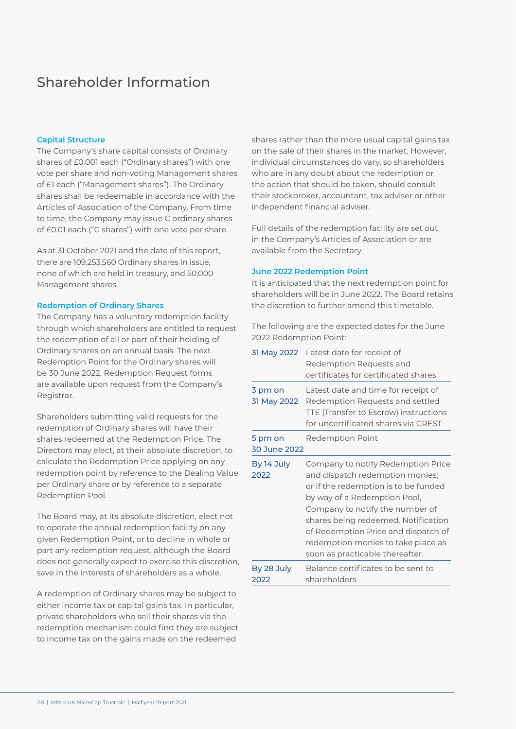### Shareholder Information

### **Capital Structure**

The Company's share capital consists of Ordinary shares of £0.001 each ("Ordinary shares") with one vote per share and non-voting Management shares of £1 each ("Management shares"). The Ordinary shares shall be redeemable in accordance with the Articles of Association of the Company. From time to time, the Company may issue C ordinary shares of £0.01 each ("C shares") with one vote per share.

As at 31 October 2021 and the date of this report, there are 109,253,560 Ordinary shares in issue, none of which are held in treasury, and 50,000 Management shares.

#### **Redemption of Ordinary Shares**

The Company has a voluntary redemption facility through which shareholders are entitled to request the redemption of all or part of their holding of Ordinary shares on an annual basis. The next Redemption Point for the Ordinary shares will be 30 June 2022. Redemption Request forms are available upon request from the Company's Registrar.

Shareholders submitting valid requests for the redemption of Ordinary shares will have their shares redeemed at the Redemption Price. The Directors may elect, at their absolute discretion, to calculate the Redemption Price applying on any redemption point by reference to the Dealing Value per Ordinary share or by reference to a separate Redemption Pool.

The Board may, at its absolute discretion, elect not to operate the annual redemption facility on any given Redemption Point, or to decline in whole or part any redemption request, although the Board does not generally expect to exercise this discretion, save in the interests of shareholders as a whole.

A redemption of Ordinary shares may be subject to either income tax or capital gains tax. In particular, private shareholders who sell their shares via the redemption mechanism could find they are subject to income tax on the gains made on the redeemed

shares rather than the more usual capital gains tax on the sale of their shares in the market. However, individual circumstances do vary, so shareholders who are in any doubt about the redemption or the action that should be taken, should consult their stockbroker, accountant, tax adviser or other independent financial adviser.

Full details of the redemption facility are set out in the Company's Articles of Association or are available from the Secretary.

#### **June 2022 Redemption Point**

It is anticipated that the next redemption point for shareholders will be in June 2022. The Board retains the discretion to further amend this timetable.

The following are the expected dates for the June 2022 Redemption Point:

|                         | 31 May 2022 Latest date for receipt of<br>Redemption Requests and<br>certificates for certificated shares                                                                                                                                                                                                                               |
|-------------------------|-----------------------------------------------------------------------------------------------------------------------------------------------------------------------------------------------------------------------------------------------------------------------------------------------------------------------------------------|
| 3 pm on<br>31 May 2022  | Latest date and time for receipt of<br>Redemption Requests and settled<br>TTE (Transfer to Escrow) instructions<br>for uncertificated shares via CREST                                                                                                                                                                                  |
| 5 pm on<br>30 June 2022 | Redemption Point                                                                                                                                                                                                                                                                                                                        |
| By 14 July<br>2022      | Company to notify Redemption Price<br>and dispatch redemption monies;<br>or if the redemption is to be funded<br>by way of a Redemption Pool,<br>Company to notify the number of<br>shares being redeemed. Notification<br>of Redemption Price and dispatch of<br>redemption monies to take place as<br>soon as practicable thereafter. |
| By 28 July<br>2022      | Balance certificates to be sent to<br>shareholders                                                                                                                                                                                                                                                                                      |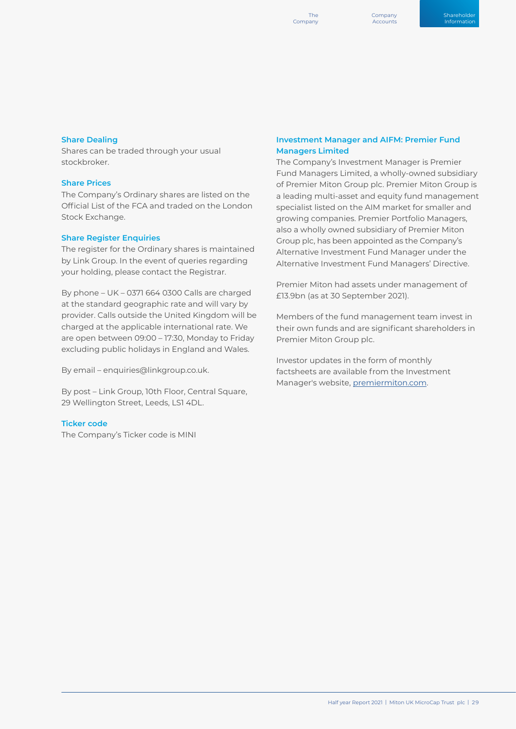### **Share Dealing**

Shares can be traded through your usual stockbroker.

### **Share Prices**

The Company's Ordinary shares are listed on the Official List of the FCA and traded on the London Stock Exchange.

### **Share Register Enquiries**

The register for the Ordinary shares is maintained by Link Group. In the event of queries regarding your holding, please contact the Registrar.

By phone – UK – 0371 664 0300 Calls are charged at the standard geographic rate and will vary by provider. Calls outside the United Kingdom will be charged at the applicable international rate. We are open between 09:00 – 17:30, Monday to Friday excluding public holidays in England and Wales.

By email – enquiries@linkgroup.co.uk.

By post – Link Group, 10th Floor, Central Square, 29 Wellington Street, Leeds, LS1 4DL.

#### **Ticker code**

The Company's Ticker code is MINI

### **Investment Manager and AIFM: Premier Fund Managers Limited**

The Company's Investment Manager is Premier Fund Managers Limited, a wholly-owned subsidiary of Premier Miton Group plc. Premier Miton Group is a leading multi-asset and equity fund management specialist listed on the AIM market for smaller and growing companies. Premier Portfolio Managers, also a wholly owned subsidiary of Premier Miton Group plc, has been appointed as the Company's Alternative Investment Fund Manager under the Alternative Investment Fund Managers' Directive.

Premier Miton had assets under management of £13.9bn (as at 30 September 2021).

Members of the fund management team invest in their own funds and are significant shareholders in Premier Miton Group plc.

Investor updates in the form of monthly factsheets are available from the Investment Manager's website, [premiermiton.com](http://premiermiton.com/micro).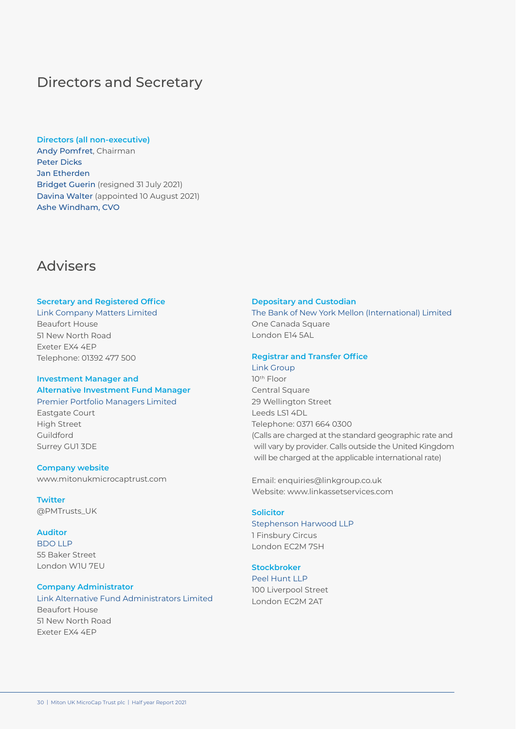### Directors and Secretary

### **Directors (all non-executive)**

Andy Pomfret, Chairman Peter Dicks Jan Etherden Bridget Guerin (resigned 31 July 2021) Davina Walter (appointed 10 August 2021) Ashe Windham, CVO

### Advisers

### **Secretary and Registered Office**

Link Company Matters Limited Beaufort House 51 New North Road Exeter EX4 4EP Telephone: 01392 477 500

### **Investment Manager and Alternative Investment Fund Manager** Premier Portfolio Managers Limited

Eastgate Court High Street Guildford Surrey GU1 3DE

### **Company website** www.mitonukmicrocaptrust.com

**Twitter** @PMTrusts\_UK

### **Auditor**

BDO LLP 55 Baker Street London W1U 7EU

### **Company Administrator**

Link Alternative Fund Administrators Limited Beaufort House 51 New North Road Exeter EX4 4EP

### **Depositary and Custodian**

The Bank of New York Mellon (International) Limited One Canada Square London E14 5AL

### **Registrar and Transfer Office**

Link Group 10th Floor Central Square 29 Wellington Street Leeds LS1 4DL Telephone: 0371 664 0300 (Calls are charged at the standard geographic rate and will vary by provider. Calls outside the United Kingdom will be charged at the applicable international rate)

Email: enquiries@linkgroup.co.uk Website: www.linkassetservices.com

#### **Solicitor**

### Stephenson Harwood LLP 1 Finsbury Circus

London EC2M 7SH

### **Stockbroker**

Peel Hunt LLP 100 Liverpool Street London EC2M 2AT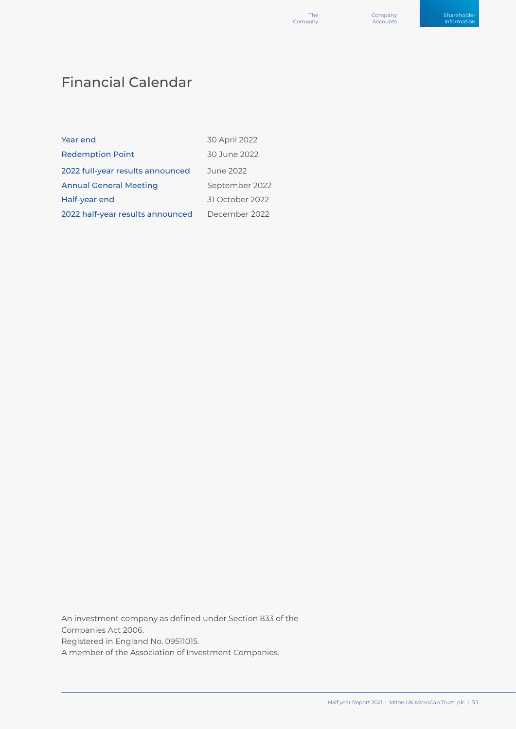### Shareholder Information

### Financial Calendar

| Year end                         | 30 April 2022   |
|----------------------------------|-----------------|
| <b>Redemption Point</b>          | 30 June 2022    |
| 2022 full-year results announced | June 2022       |
| <b>Annual General Meeting</b>    | September 2022  |
| Half-year end                    | 31 October 2022 |
| 2022 half-year results announced | December 2022   |

An investment company as defined under Section 833 of the Companies Act 2006. Registered in England No. 09511015. A member of the Association of Investment Companies.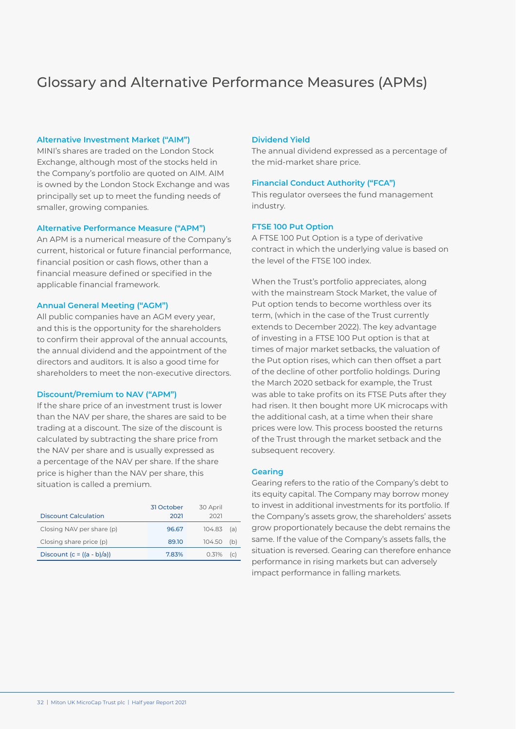### Glossary and Alternative Performance Measures (APMs)

#### **Alternative Investment Market ("AIM")**

MINI's shares are traded on the London Stock Exchange, although most of the stocks held in the Company's portfolio are quoted on AIM. AIM is owned by the London Stock Exchange and was principally set up to meet the funding needs of smaller, growing companies.

#### **Alternative Performance Measure ("APM")**

An APM is a numerical measure of the Company's current, historical or future financial performance, financial position or cash flows, other than a financial measure defined or specified in the applicable financial framework.

### **Annual General Meeting ("AGM")**

All public companies have an AGM every year, and this is the opportunity for the shareholders to confirm their approval of the annual accounts, the annual dividend and the appointment of the directors and auditors. It is also a good time for shareholders to meet the non-executive directors.

#### **Discount/Premium to NAV ("APM")**

If the share price of an investment trust is lower than the NAV per share, the shares are said to be trading at a discount. The size of the discount is calculated by subtracting the share price from the NAV per share and is usually expressed as a percentage of the NAV per share. If the share price is higher than the NAV per share, this situation is called a premium.

| <b>Discount Calculation</b>  | 31 October<br>2021 | 30 April<br>2021 |     |
|------------------------------|--------------------|------------------|-----|
| Closing NAV per share (p)    | 96.67              | 104.83           | (a) |
| Closing share price (p)      | 89.10              | 104.50           | (b) |
| Discount $(c = ((a - b)/a))$ | 7.83%              | 0.31%            | (C) |

### **Dividend Yield**

The annual dividend expressed as a percentage of the mid-market share price.

### **Financial Conduct Authority ("FCA")**

This regulator oversees the fund management industry.

### **FTSE 100 Put Option**

A FTSE 100 Put Option is a type of derivative contract in which the underlying value is based on the level of the FTSE 100 index.

When the Trust's portfolio appreciates, along with the mainstream Stock Market, the value of Put option tends to become worthless over its term, (which in the case of the Trust currently extends to December 2022). The key advantage of investing in a FTSE 100 Put option is that at times of major market setbacks, the valuation of the Put option rises, which can then offset a part of the decline of other portfolio holdings. During the March 2020 setback for example, the Trust was able to take profits on its FTSE Puts after they had risen. It then bought more UK microcaps with the additional cash, at a time when their share prices were low. This process boosted the returns of the Trust through the market setback and the subsequent recovery.

### **Gearing**

Gearing refers to the ratio of the Company's debt to its equity capital. The Company may borrow money to invest in additional investments for its portfolio. If the Company's assets grow, the shareholders' assets grow proportionately because the debt remains the same. If the value of the Company's assets falls, the situation is reversed. Gearing can therefore enhance performance in rising markets but can adversely impact performance in falling markets.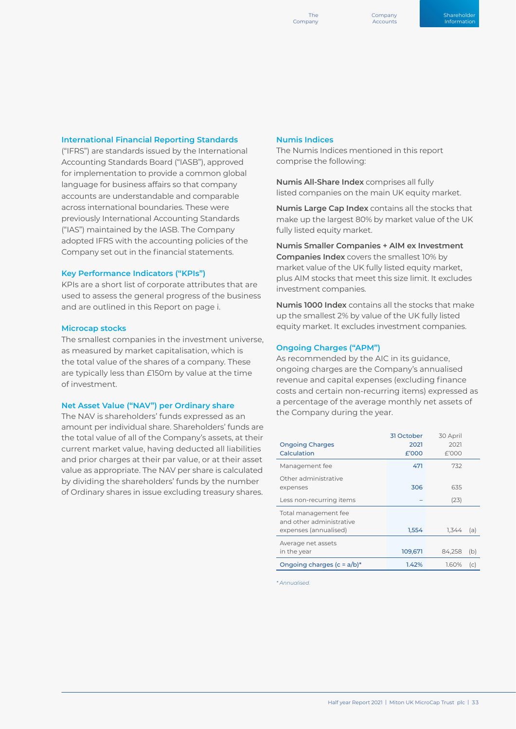### **International Financial Reporting Standards**

("IFRS") are standards issued by the International Accounting Standards Board ("IASB"), approved for implementation to provide a common global language for business affairs so that company accounts are understandable and comparable across international boundaries. These were previously International Accounting Standards ("IAS") maintained by the IASB. The Company adopted IFRS with the accounting policies of the Company set out in the financial statements.

### **Key Performance Indicators ("KPIs")**

KPIs are a short list of corporate attributes that are used to assess the general progress of the business and are outlined in this Report on page i.

### **Microcap stocks**

The smallest companies in the investment universe, as measured by market capitalisation, which is the total value of the shares of a company. These are typically less than £150m by value at the time of investment.

### **Net Asset Value ("NAV") per Ordinary share**

The NAV is shareholders' funds expressed as an amount per individual share. Shareholders' funds are the total value of all of the Company's assets, at their current market value, having deducted all liabilities and prior charges at their par value, or at their asset value as appropriate. The NAV per share is calculated by dividing the shareholders' funds by the number of Ordinary shares in issue excluding treasury shares.

### **Numis Indices**

The Numis Indices mentioned in this report comprise the following:

**Numis All-Share Index** comprises all fully listed companies on the main UK equity market.

**Numis Large Cap Index** contains all the stocks that make up the largest 80% by market value of the UK fully listed equity market.

**Numis Smaller Companies + AIM ex Investment Companies Index** covers the smallest 10% by market value of the UK fully listed equity market, plus AIM stocks that meet this size limit. It excludes investment companies.

**Numis 1000 Index** contains all the stocks that make up the smallest 2% by value of the UK fully listed equity market. It excludes investment companies.

### **Ongoing Charges ("APM")**

As recommended by the AIC in its guidance, ongoing charges are the Company's annualised revenue and capital expenses (excluding finance costs and certain non-recurring items) expressed as a percentage of the average monthly net assets of the Company during the year.

| <b>Ongoing Charges</b><br>Calculation                                     | 31 October<br>2021<br>£'000 | 30 April<br>2021<br>£'000 |     |
|---------------------------------------------------------------------------|-----------------------------|---------------------------|-----|
| Management fee                                                            | 471                         | 732                       |     |
| Other administrative<br>expenses                                          | 306                         | 635                       |     |
| Less non-recurring items                                                  |                             | (23)                      |     |
| Total management fee<br>and other administrative<br>expenses (annualised) | 1.554                       | 1.344                     | (a) |
|                                                                           |                             |                           |     |
| Average net assets<br>in the year                                         | 109,671                     | 84.258                    | (b) |
| Ongoing charges $(c = a/b)^*$                                             | 1.42%                       | 1.60%                     | (c) |

*\* Annualised.*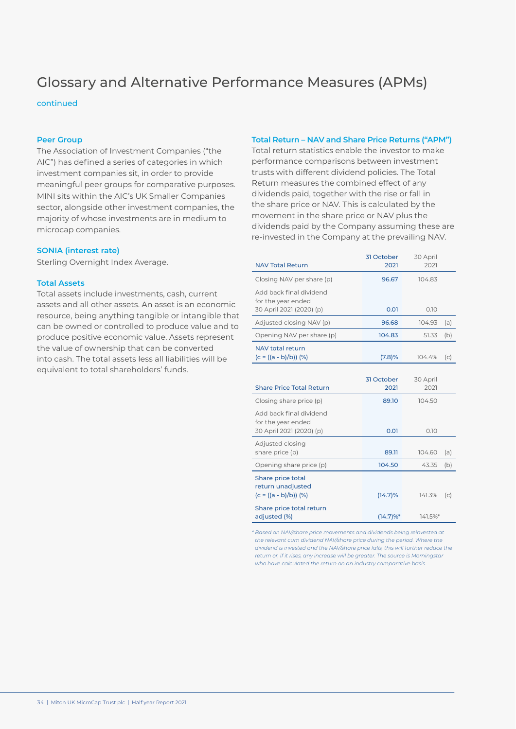## Glossary and Alternative Performance Measures (APMs)

### continued

### **Peer Group**

The Association of Investment Companies ("the AIC") has defined a series of categories in which investment companies sit, in order to provide meaningful peer groups for comparative purposes. MINI sits within the AIC's UK Smaller Companies sector, alongside other investment companies, the majority of whose investments are in medium to microcap companies.

### **SONIA (interest rate)**

Sterling Overnight Index Average.

### **Total Assets**

Total assets include investments, cash, current assets and all other assets. An asset is an economic resource, being anything tangible or intangible that can be owned or controlled to produce value and to produce positive economic value. Assets represent the value of ownership that can be converted into cash. The total assets less all liabilities will be equivalent to total shareholders' funds.

#### **Total Return – NAV and Share Price Returns ("APM")**

Total return statistics enable the investor to make performance comparisons between investment trusts with different dividend policies. The Total Return measures the combined effect of any dividends paid, together with the rise or fall in the share price or NAV. This is calculated by the movement in the share price or NAV plus the dividends paid by the Company assuming these are re-invested in the Company at the prevailing NAV.

|                                                                           | 31 October         | 30 April         |     |
|---------------------------------------------------------------------------|--------------------|------------------|-----|
| <b>NAV Total Return</b>                                                   | 2021               | 2021             |     |
| Closing NAV per share (p)                                                 | 96.67              | 104.83           |     |
| Add back final dividend<br>for the year ended<br>30 April 2021 (2020) (p) | 0.01               | 0.10             |     |
| Adjusted closing NAV (p)                                                  | 96.68              | 104.93           | (a) |
| Opening NAV per share (p)                                                 | 104.83             | 51.33            | (b) |
| <b>NAV total return</b><br>$(c = ((a - b)/b))$ (%)                        | (7.8)%             | 104.4%           | (c) |
| <b>Share Price Total Return</b>                                           | 31 October<br>2021 | 30 April<br>2021 |     |
| Closing share price (p)                                                   | 89.10              | 104.50           |     |
| Add back final dividend<br>for the year ended<br>30 April 2021 (2020) (p) | 0.01               | 0.10             |     |
| Adjusted closing<br>share price (p)                                       | 89.11              | 104.60           | (a) |
| Opening share price (p)                                                   | 104.50             | 43.35            | (b) |
| Share price total<br>return unadjusted<br>$(c = ((a - b)/b))$ (%)         | $(14.7)\%$         | 141.3%           | (c) |
| Share price total return<br>adjusted (%)                                  | $(14.7)\%$         | 141.5%*          |     |

*\* Based on NAV/share price movements and dividends being reinvested at the relevant cum dividend NAV/share price during the period. Where the dividend is invested and the NAV/share price falls, this will further reduce the return or, if it rises, any increase will be greater. The source is Morningstar who have calculated the return on an industry comparative basis.*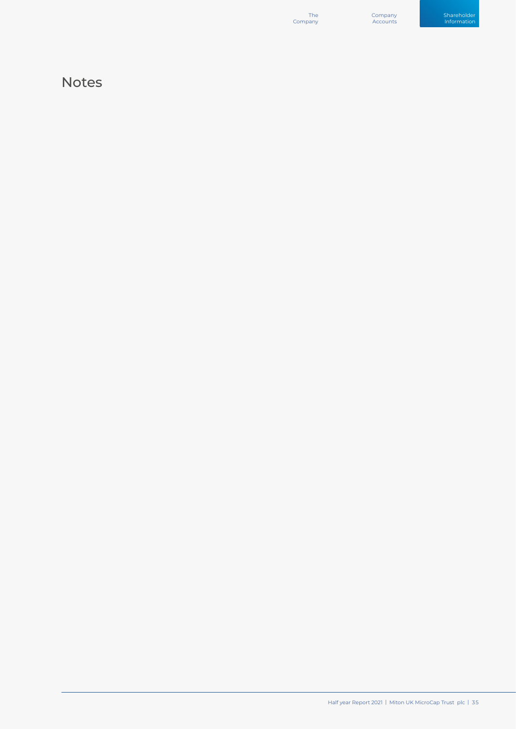Company Accounts

Notes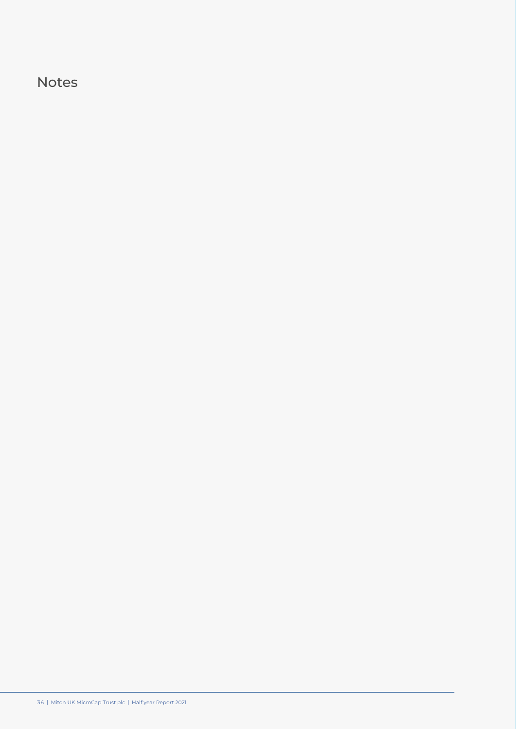### Notes